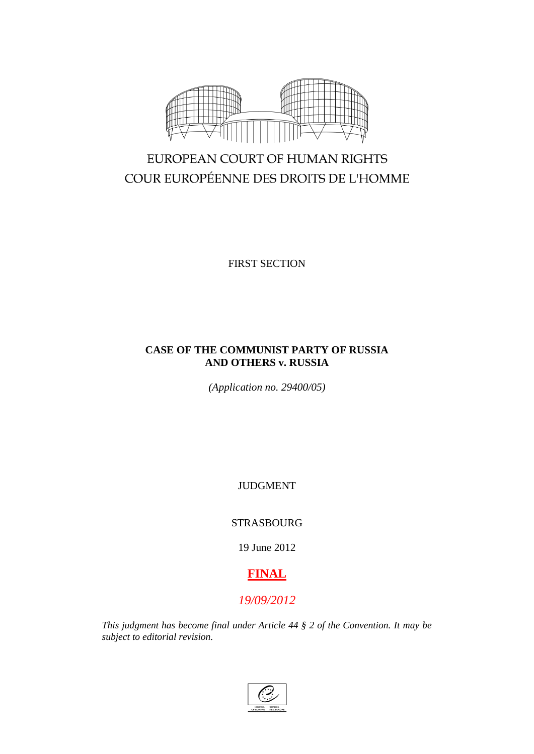

# EUROPEAN COURT OF HUMAN RIGHTS COUR EUROPÉENNE DES DROITS DE L'HOMME

FIRST SECTION

# **CASE OF THE COMMUNIST PARTY OF RUSSIA AND OTHERS v. RUSSIA**

*(Application no. 29400/05)*

JUDGMENT

STRASBOURG

19 June 2012

# **FINAL**

# *19/09/2012*

*This judgment has become final under Article 44 § 2 of the Convention. It may be subject to editorial revision.*

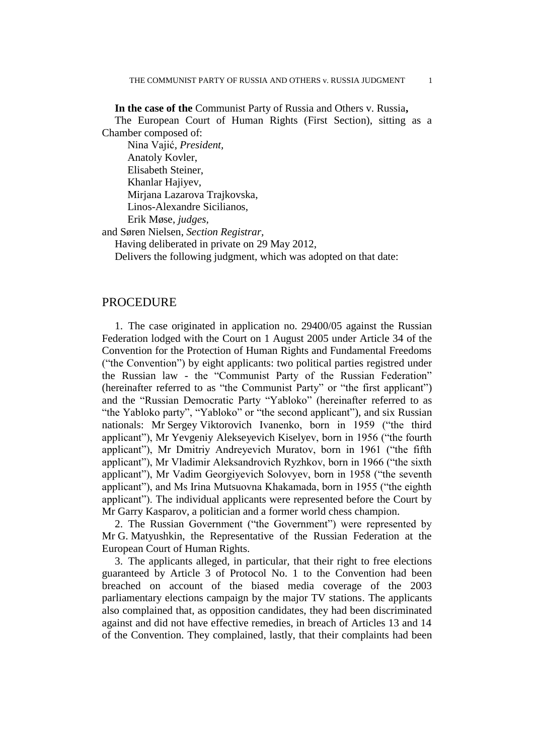**In the case of the** Communist Party of Russia and Others v. Russia**,** The European Court of Human Rights (First Section), sitting as a Chamber composed of:

Nina Vajić, *President,* Anatoly Kovler, Elisabeth Steiner, Khanlar Hajiyev, Mirjana Lazarova Trajkovska, Linos-Alexandre Sicilianos, Erik Møse, *judges,*

and Søren Nielsen, *Section Registrar,*

Having deliberated in private on 29 May 2012,

Delivers the following judgment, which was adopted on that date:

## PROCEDURE

1. The case originated in application no. 29400/05 against the Russian Federation lodged with the Court on 1 August 2005 under Article 34 of the Convention for the Protection of Human Rights and Fundamental Freedoms ("the Convention") by eight applicants: two political parties registred under the Russian law - the "Communist Party of the Russian Federation" (hereinafter referred to as "the Communist Party" or "the first applicant") and the "Russian Democratic Party "Yabloko" (hereinafter referred to as "the Yabloko party", "Yabloko" or "the second applicant"), and six Russian nationals: Mr Sergey Viktorovich Ivanenko, born in 1959 ("the third applicant"), Mr Yevgeniy Alekseyevich Kiselyev, born in 1956 ("the fourth applicant"), Mr Dmitriy Andreyevich Muratov, born in 1961 ("the fifth applicant"), Mr Vladimir Aleksandrovich Ryzhkov, born in 1966 ("the sixth applicant"), Mr Vadim Georgiyevich Solovyev, born in 1958 ("the seventh applicant"), and Ms Irina Mutsuovna Khakamada, born in 1955 ("the eighth applicant"). The individual applicants were represented before the Court by Mr Garry Kasparov, a politician and a former world chess champion.

2. The Russian Government ("the Government") were represented by Mr G. Matyushkin, the Representative of the Russian Federation at the European Court of Human Rights.

3. The applicants alleged, in particular, that their right to free elections guaranteed by Article 3 of Protocol No. 1 to the Convention had been breached on account of the biased media coverage of the 2003 parliamentary elections campaign by the major TV stations. The applicants also complained that, as opposition candidates, they had been discriminated against and did not have effective remedies, in breach of Articles 13 and 14 of the Convention. They complained, lastly, that their complaints had been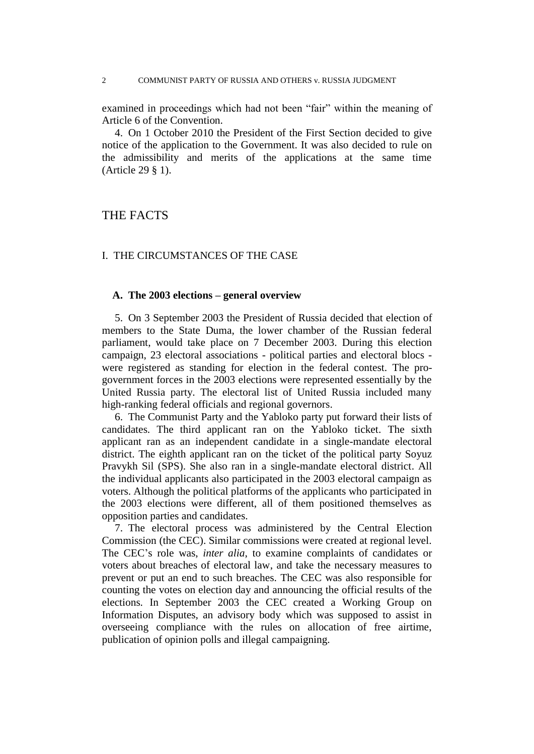#### 2 COMMUNIST PARTY OF RUSSIA AND OTHERS v. RUSSIA JUDGMENT

examined in proceedings which had not been "fair" within the meaning of Article 6 of the Convention.

4. On 1 October 2010 the President of the First Section decided to give notice of the application to the Government. It was also decided to rule on the admissibility and merits of the applications at the same time (Article 29 § 1).

# THE FACTS

## I. THE CIRCUMSTANCES OF THE CASE

## **A. The 2003 elections – general overview**

5. On 3 September 2003 the President of Russia decided that election of members to the State Duma, the lower chamber of the Russian federal parliament, would take place on 7 December 2003. During this election campaign, 23 electoral associations - political parties and electoral blocs were registered as standing for election in the federal contest. The progovernment forces in the 2003 elections were represented essentially by the United Russia party. The electoral list of United Russia included many high-ranking federal officials and regional governors.

6. The Communist Party and the Yabloko party put forward their lists of candidates. The third applicant ran on the Yabloko ticket. The sixth applicant ran as an independent candidate in a single-mandate electoral district. The eighth applicant ran on the ticket of the political party Soyuz Pravykh Sil (SPS). She also ran in a single-mandate electoral district. All the individual applicants also participated in the 2003 electoral campaign as voters. Although the political platforms of the applicants who participated in the 2003 elections were different, all of them positioned themselves as opposition parties and candidates.

7. The electoral process was administered by the Central Election Commission (the CEC). Similar commissions were created at regional level. The CEC's role was, *inter alia*, to examine complaints of candidates or voters about breaches of electoral law, and take the necessary measures to prevent or put an end to such breaches. The CEC was also responsible for counting the votes on election day and announcing the official results of the elections. In September 2003 the CEC created a Working Group on Information Disputes, an advisory body which was supposed to assist in overseeing compliance with the rules on allocation of free airtime, publication of opinion polls and illegal campaigning.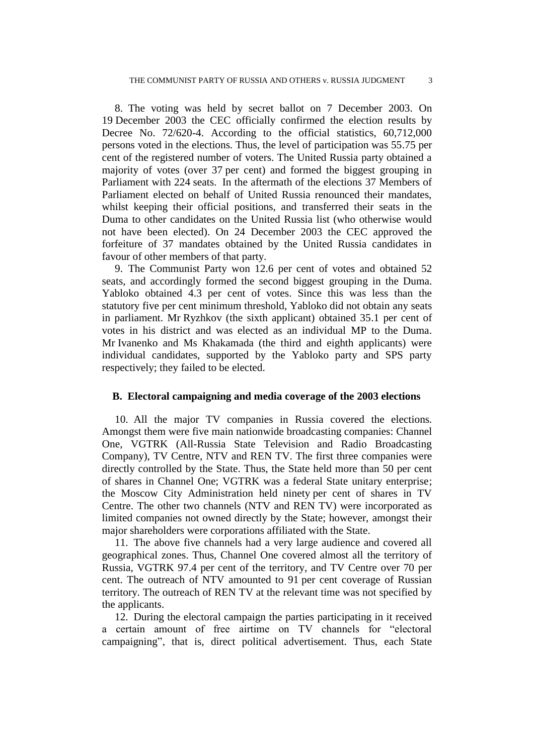8. The voting was held by secret ballot on 7 December 2003. On 19 December 2003 the CEC officially confirmed the election results by Decree No. 72/620-4. According to the official statistics, 60,712,000 persons voted in the elections. Thus, the level of participation was 55.75 per cent of the registered number of voters. The United Russia party obtained a majority of votes (over 37 per cent) and formed the biggest grouping in Parliament with 224 seats. In the aftermath of the elections 37 Members of Parliament elected on behalf of United Russia renounced their mandates, whilst keeping their official positions, and transferred their seats in the Duma to other candidates on the United Russia list (who otherwise would not have been elected). On 24 December 2003 the CEC approved the forfeiture of 37 mandates obtained by the United Russia candidates in favour of other members of that party.

9. The Communist Party won 12.6 per cent of votes and obtained 52 seats, and accordingly formed the second biggest grouping in the Duma. Yabloko obtained 4.3 per cent of votes. Since this was less than the statutory five per cent minimum threshold, Yabloko did not obtain any seats in parliament. Mr Ryzhkov (the sixth applicant) obtained 35.1 per cent of votes in his district and was elected as an individual MP to the Duma. Mr Ivanenko and Ms Khakamada (the third and eighth applicants) were individual candidates, supported by the Yabloko party and SPS party respectively; they failed to be elected.

## **B. Electoral campaigning and media coverage of the 2003 elections**

10. All the major TV companies in Russia covered the elections. Amongst them were five main nationwide broadcasting companies: Channel One, VGTRK (All-Russia State Television and Radio Broadcasting Company), TV Centre, NTV and REN TV. The first three companies were directly controlled by the State. Thus, the State held more than 50 per cent of shares in Channel One; VGTRK was a federal State unitary enterprise; the Moscow City Administration held ninety per cent of shares in TV Centre. The other two channels (NTV and REN TV) were incorporated as limited companies not owned directly by the State; however, amongst their major shareholders were corporations affiliated with the State.

11. The above five channels had a very large audience and covered all geographical zones. Thus, Channel One covered almost all the territory of Russia, VGTRK 97.4 per cent of the territory, and TV Centre over 70 per cent. The outreach of NTV amounted to 91 per cent coverage of Russian territory. The outreach of REN TV at the relevant time was not specified by the applicants.

12. During the electoral campaign the parties participating in it received a certain amount of free airtime on TV channels for "electoral campaigning", that is, direct political advertisement. Thus, each State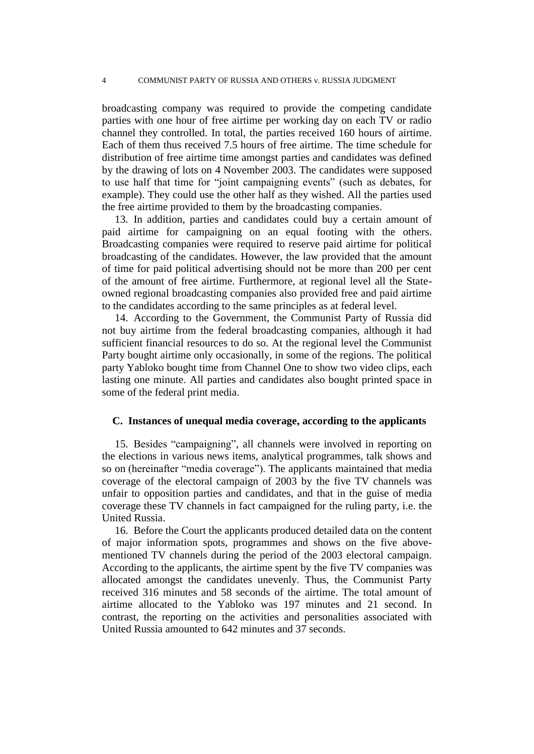broadcasting company was required to provide the competing candidate parties with one hour of free airtime per working day on each TV or radio channel they controlled. In total, the parties received 160 hours of airtime. Each of them thus received 7.5 hours of free airtime. The time schedule for distribution of free airtime time amongst parties and candidates was defined by the drawing of lots on 4 November 2003. The candidates were supposed to use half that time for "joint campaigning events" (such as debates, for example). They could use the other half as they wished. All the parties used the free airtime provided to them by the broadcasting companies.

13. In addition, parties and candidates could buy a certain amount of paid airtime for campaigning on an equal footing with the others. Broadcasting companies were required to reserve paid airtime for political broadcasting of the candidates. However, the law provided that the amount of time for paid political advertising should not be more than 200 per cent of the amount of free airtime. Furthermore, at regional level all the Stateowned regional broadcasting companies also provided free and paid airtime to the candidates according to the same principles as at federal level.

14. According to the Government, the Communist Party of Russia did not buy airtime from the federal broadcasting companies, although it had sufficient financial resources to do so. At the regional level the Communist Party bought airtime only occasionally, in some of the regions. The political party Yabloko bought time from Channel One to show two video clips, each lasting one minute. All parties and candidates also bought printed space in some of the federal print media.

## **C. Instances of unequal media coverage, according to the applicants**

15. Besides "campaigning", all channels were involved in reporting on the elections in various news items, analytical programmes, talk shows and so on (hereinafter "media coverage"). The applicants maintained that media coverage of the electoral campaign of 2003 by the five TV channels was unfair to opposition parties and candidates, and that in the guise of media coverage these TV channels in fact campaigned for the ruling party, i.e. the United Russia.

16. Before the Court the applicants produced detailed data on the content of major information spots, programmes and shows on the five abovementioned TV channels during the period of the 2003 electoral campaign. According to the applicants, the airtime spent by the five TV companies was allocated amongst the candidates unevenly. Thus, the Communist Party received 316 minutes and 58 seconds of the airtime. The total amount of airtime allocated to the Yabloko was 197 minutes and 21 second. In contrast, the reporting on the activities and personalities associated with United Russia amounted to 642 minutes and 37 seconds.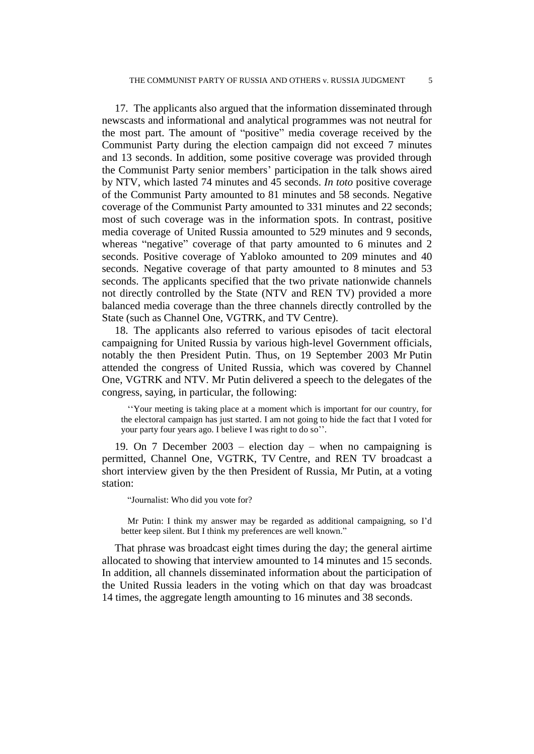17. The applicants also argued that the information disseminated through newscasts and informational and analytical programmes was not neutral for the most part. The amount of "positive" media coverage received by the Communist Party during the election campaign did not exceed 7 minutes and 13 seconds. In addition, some positive coverage was provided through the Communist Party senior members' participation in the talk shows aired by NTV, which lasted 74 minutes and 45 seconds. *In toto* positive coverage of the Communist Party amounted to 81 minutes and 58 seconds. Negative coverage of the Communist Party amounted to 331 minutes and 22 seconds; most of such coverage was in the information spots. In contrast, positive media coverage of United Russia amounted to 529 minutes and 9 seconds, whereas "negative" coverage of that party amounted to 6 minutes and 2 seconds. Positive coverage of Yabloko amounted to 209 minutes and 40 seconds. Negative coverage of that party amounted to 8 minutes and 53 seconds. The applicants specified that the two private nationwide channels not directly controlled by the State (NTV and REN TV) provided a more balanced media coverage than the three channels directly controlled by the State (such as Channel One, VGTRK, and TV Centre).

18. The applicants also referred to various episodes of tacit electoral campaigning for United Russia by various high-level Government officials, notably the then President Putin. Thus, on 19 September 2003 Mr Putin attended the congress of United Russia, which was covered by Channel One, VGTRK and NTV. Mr Putin delivered a speech to the delegates of the congress, saying, in particular, the following:

''Your meeting is taking place at a moment which is important for our country, for the electoral campaign has just started. I am not going to hide the fact that I voted for your party four years ago. I believe I was right to do so''.

19. On 7 December 2003 – election day – when no campaigning is permitted, Channel One, VGTRK, TV Centre, and REN TV broadcast a short interview given by the then President of Russia, Mr Putin, at a voting station:

"Journalist: Who did you vote for?

Mr Putin: I think my answer may be regarded as additional campaigning, so I'd better keep silent. But I think my preferences are well known."

That phrase was broadcast eight times during the day; the general airtime allocated to showing that interview amounted to 14 minutes and 15 seconds. In addition, all channels disseminated information about the participation of the United Russia leaders in the voting which on that day was broadcast 14 times, the aggregate length amounting to 16 minutes and 38 seconds.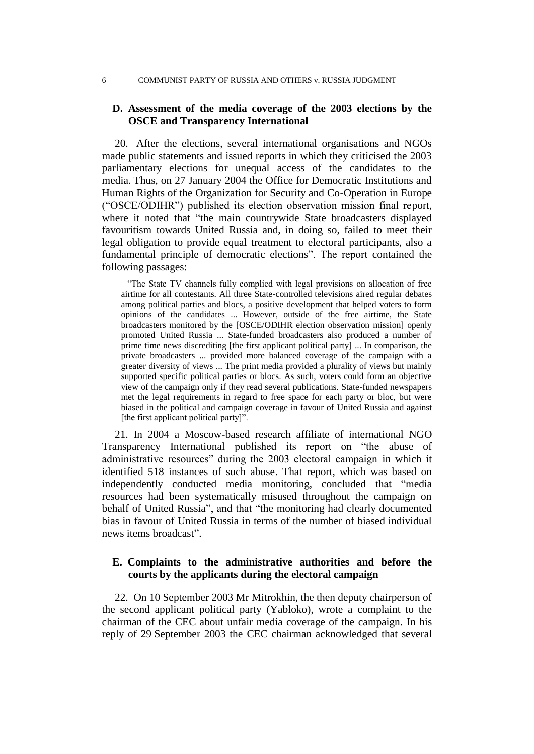#### 6 COMMUNIST PARTY OF RUSSIA AND OTHERS v. RUSSIA JUDGMENT

## **D. Assessment of the media coverage of the 2003 elections by the OSCE and Transparency International**

20. After the elections, several international organisations and NGOs made public statements and issued reports in which they criticised the 2003 parliamentary elections for unequal access of the candidates to the media. Thus, on 27 January 2004 the Office for Democratic Institutions and Human Rights of the Organization for Security and Co-Operation in Europe ("OSCE/ODIHR") published its election observation mission final report, where it noted that "the main countrywide State broadcasters displayed favouritism towards United Russia and, in doing so, failed to meet their legal obligation to provide equal treatment to electoral participants, also a fundamental principle of democratic elections". The report contained the following passages:

"The State TV channels fully complied with legal provisions on allocation of free airtime for all contestants. All three State-controlled televisions aired regular debates among political parties and blocs, a positive development that helped voters to form opinions of the candidates ... However, outside of the free airtime, the State broadcasters monitored by the [OSCE/ODIHR election observation mission] openly promoted United Russia ... State-funded broadcasters also produced a number of prime time news discrediting [the first applicant political party] ... In comparison, the private broadcasters ... provided more balanced coverage of the campaign with a greater diversity of views ... The print media provided a plurality of views but mainly supported specific political parties or blocs. As such, voters could form an objective view of the campaign only if they read several publications. State-funded newspapers met the legal requirements in regard to free space for each party or bloc, but were biased in the political and campaign coverage in favour of United Russia and against [the first applicant political party]".

21. In 2004 a Moscow-based research affiliate of international NGO Transparency International published its report on "the abuse of administrative resources" during the 2003 electoral campaign in which it identified 518 instances of such abuse. That report, which was based on independently conducted media monitoring, concluded that "media resources had been systematically misused throughout the campaign on behalf of United Russia", and that "the monitoring had clearly documented bias in favour of United Russia in terms of the number of biased individual news items broadcast".

# **E. Complaints to the administrative authorities and before the courts by the applicants during the electoral campaign**

22. On 10 September 2003 Mr Mitrokhin, the then deputy chairperson of the second applicant political party (Yabloko), wrote a complaint to the chairman of the CEC about unfair media coverage of the campaign. In his reply of 29 September 2003 the CEC chairman acknowledged that several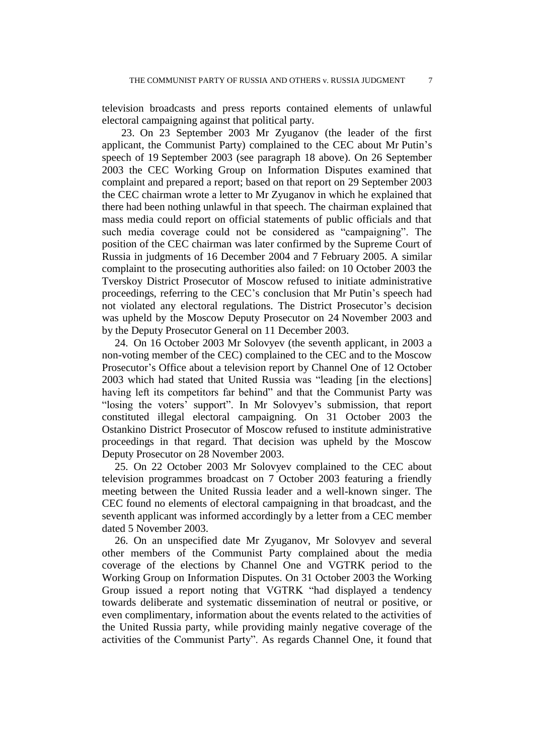television broadcasts and press reports contained elements of unlawful electoral campaigning against that political party.

23. On 23 September 2003 Mr Zyuganov (the leader of the first applicant, the Communist Party) complained to the CEC about Mr Putin's speech of 19 September 2003 (see paragraph 18 above). On 26 September 2003 the CEC Working Group on Information Disputes examined that complaint and prepared a report; based on that report on 29 September 2003 the CEC chairman wrote a letter to Mr Zyuganov in which he explained that there had been nothing unlawful in that speech. The chairman explained that mass media could report on official statements of public officials and that such media coverage could not be considered as "campaigning". The position of the CEC chairman was later confirmed by the Supreme Court of Russia in judgments of 16 December 2004 and 7 February 2005. A similar complaint to the prosecuting authorities also failed: on 10 October 2003 the Tverskoy District Prosecutor of Moscow refused to initiate administrative proceedings, referring to the CEC's conclusion that Mr Putin's speech had not violated any electoral regulations. The District Prosecutor's decision was upheld by the Moscow Deputy Prosecutor on 24 November 2003 and by the Deputy Prosecutor General on 11 December 2003.

24. On 16 October 2003 Mr Solovyev (the seventh applicant, in 2003 a non-voting member of the CEC) complained to the CEC and to the Moscow Prosecutor's Office about a television report by Channel One of 12 October 2003 which had stated that United Russia was "leading [in the elections] having left its competitors far behind" and that the Communist Party was "losing the voters' support". In Mr Solovyev's submission, that report constituted illegal electoral campaigning. On 31 October 2003 the Ostankino District Prosecutor of Moscow refused to institute administrative proceedings in that regard. That decision was upheld by the Moscow Deputy Prosecutor on 28 November 2003.

25. On 22 October 2003 Mr Solovyev complained to the CEC about television programmes broadcast on 7 October 2003 featuring a friendly meeting between the United Russia leader and a well-known singer. The CEC found no elements of electoral campaigning in that broadcast, and the seventh applicant was informed accordingly by a letter from a CEC member dated 5 November 2003.

26. On an unspecified date Mr Zyuganov, Mr Solovyev and several other members of the Communist Party complained about the media coverage of the elections by Channel One and VGTRK period to the Working Group on Information Disputes. On 31 October 2003 the Working Group issued a report noting that VGTRK "had displayed a tendency towards deliberate and systematic dissemination of neutral or positive, or even complimentary, information about the events related to the activities of the United Russia party, while providing mainly negative coverage of the activities of the Communist Party". As regards Channel One, it found that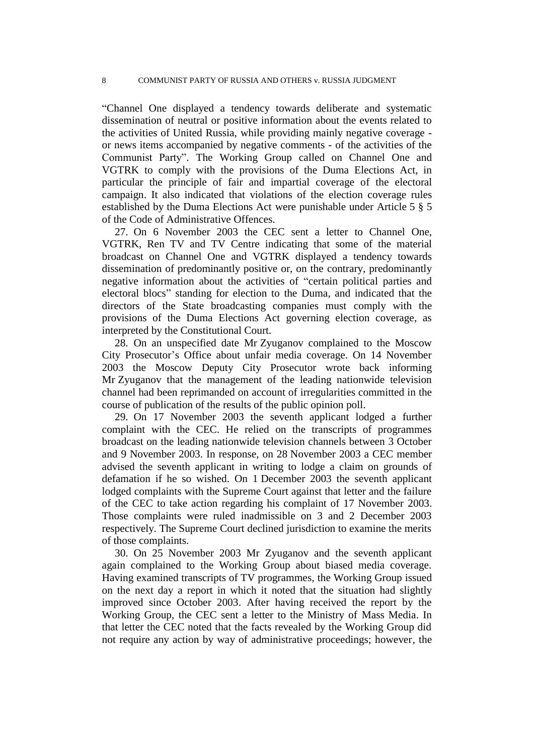"Channel One displayed a tendency towards deliberate and systematic dissemination of neutral or positive information about the events related to the activities of United Russia, while providing mainly negative coverage or news items accompanied by negative comments - of the activities of the Communist Party". The Working Group called on Channel One and VGTRK to comply with the provisions of the Duma Elections Act, in particular the principle of fair and impartial coverage of the electoral campaign. It also indicated that violations of the election coverage rules established by the Duma Elections Act were punishable under Article 5 § 5 of the Code of Administrative Offences.

27. On 6 November 2003 the CEC sent a letter to Channel One, VGTRK, Ren TV and TV Centre indicating that some of the material broadcast on Channel One and VGTRK displayed a tendency towards dissemination of predominantly positive or, on the contrary, predominantly negative information about the activities of "certain political parties and electoral blocs" standing for election to the Duma, and indicated that the directors of the State broadcasting companies must comply with the provisions of the Duma Elections Act governing election coverage, as interpreted by the Constitutional Court.

28. On an unspecified date Mr Zyuganov complained to the Moscow City Prosecutor's Office about unfair media coverage. On 14 November 2003 the Moscow Deputy City Prosecutor wrote back informing Mr Zyuganov that the management of the leading nationwide television channel had been reprimanded on account of irregularities committed in the course of publication of the results of the public opinion poll.

29. On 17 November 2003 the seventh applicant lodged a further complaint with the CEC. He relied on the transcripts of programmes broadcast on the leading nationwide television channels between 3 October and 9 November 2003. In response, on 28 November 2003 a CEC member advised the seventh applicant in writing to lodge a claim on grounds of defamation if he so wished. On 1 December 2003 the seventh applicant lodged complaints with the Supreme Court against that letter and the failure of the CEC to take action regarding his complaint of 17 November 2003. Those complaints were ruled inadmissible on 3 and 2 December 2003 respectively. The Supreme Court declined jurisdiction to examine the merits of those complaints.

30. On 25 November 2003 Mr Zyuganov and the seventh applicant again complained to the Working Group about biased media coverage. Having examined transcripts of TV programmes, the Working Group issued on the next day a report in which it noted that the situation had slightly improved since October 2003. After having received the report by the Working Group, the CEC sent a letter to the Ministry of Mass Media. In that letter the CEC noted that the facts revealed by the Working Group did not require any action by way of administrative proceedings; however, the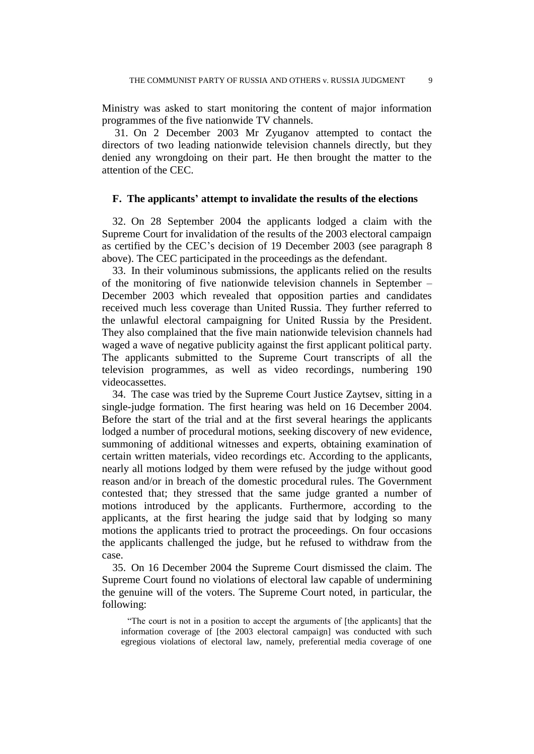Ministry was asked to start monitoring the content of major information programmes of the five nationwide TV channels.

31. On 2 December 2003 Mr Zyuganov attempted to contact the directors of two leading nationwide television channels directly, but they denied any wrongdoing on their part. He then brought the matter to the attention of the CEC.

#### **F. The applicants' attempt to invalidate the results of the elections**

32. On 28 September 2004 the applicants lodged a claim with the Supreme Court for invalidation of the results of the 2003 electoral campaign as certified by the CEC's decision of 19 December 2003 (see paragraph 8 above). The CEC participated in the proceedings as the defendant.

33. In their voluminous submissions, the applicants relied on the results of the monitoring of five nationwide television channels in September – December 2003 which revealed that opposition parties and candidates received much less coverage than United Russia. They further referred to the unlawful electoral campaigning for United Russia by the President. They also complained that the five main nationwide television channels had waged a wave of negative publicity against the first applicant political party. The applicants submitted to the Supreme Court transcripts of all the television programmes, as well as video recordings, numbering 190 videocassettes.

34. The case was tried by the Supreme Court Justice Zaytsev, sitting in a single-judge formation. The first hearing was held on 16 December 2004. Before the start of the trial and at the first several hearings the applicants lodged a number of procedural motions, seeking discovery of new evidence, summoning of additional witnesses and experts, obtaining examination of certain written materials, video recordings etc. According to the applicants, nearly all motions lodged by them were refused by the judge without good reason and/or in breach of the domestic procedural rules. The Government contested that; they stressed that the same judge granted a number of motions introduced by the applicants. Furthermore, according to the applicants, at the first hearing the judge said that by lodging so many motions the applicants tried to protract the proceedings. On four occasions the applicants challenged the judge, but he refused to withdraw from the case.

35. On 16 December 2004 the Supreme Court dismissed the claim. The Supreme Court found no violations of electoral law capable of undermining the genuine will of the voters. The Supreme Court noted, in particular, the following:

"The court is not in a position to accept the arguments of [the applicants] that the information coverage of [the 2003 electoral campaign] was conducted with such egregious violations of electoral law, namely, preferential media coverage of one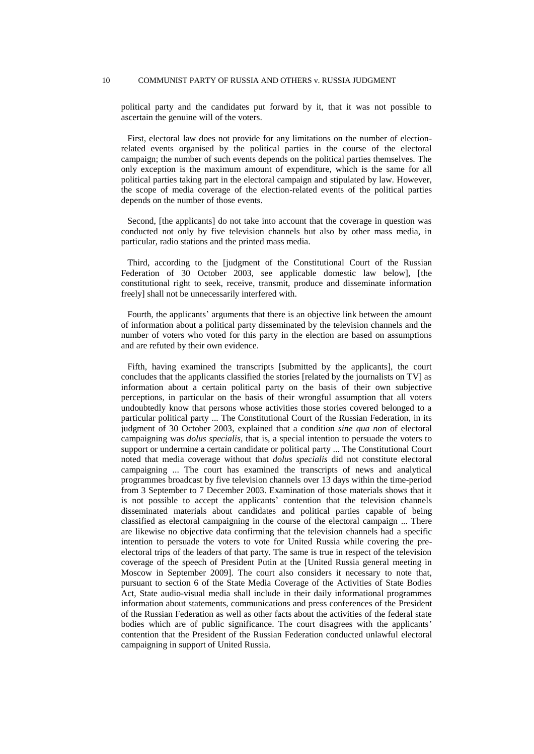#### 10 COMMUNIST PARTY OF RUSSIA AND OTHERS v. RUSSIA JUDGMENT

political party and the candidates put forward by it, that it was not possible to ascertain the genuine will of the voters.

First, electoral law does not provide for any limitations on the number of electionrelated events organised by the political parties in the course of the electoral campaign; the number of such events depends on the political parties themselves. The only exception is the maximum amount of expenditure, which is the same for all political parties taking part in the electoral campaign and stipulated by law. However, the scope of media coverage of the election-related events of the political parties depends on the number of those events.

Second, [the applicants] do not take into account that the coverage in question was conducted not only by five television channels but also by other mass media, in particular, radio stations and the printed mass media.

Third, according to the [judgment of the Constitutional Court of the Russian Federation of 30 October 2003, see applicable domestic law below], [the constitutional right to seek, receive, transmit, produce and disseminate information freely] shall not be unnecessarily interfered with.

Fourth, the applicants' arguments that there is an objective link between the amount of information about a political party disseminated by the television channels and the number of voters who voted for this party in the election are based on assumptions and are refuted by their own evidence.

Fifth, having examined the transcripts [submitted by the applicants], the court concludes that the applicants classified the stories [related by the journalists on TV] as information about a certain political party on the basis of their own subjective perceptions, in particular on the basis of their wrongful assumption that all voters undoubtedly know that persons whose activities those stories covered belonged to a particular political party ... The Constitutional Court of the Russian Federation, in its judgment of 30 October 2003, explained that a condition *sine qua non* of electoral campaigning was *dolus specialis*, that is, a special intention to persuade the voters to support or undermine a certain candidate or political party ... The Constitutional Court noted that media coverage without that *dolus specialis* did not constitute electoral campaigning ... The court has examined the transcripts of news and analytical programmes broadcast by five television channels over 13 days within the time-period from 3 September to 7 December 2003. Examination of those materials shows that it is not possible to accept the applicants' contention that the television channels disseminated materials about candidates and political parties capable of being classified as electoral campaigning in the course of the electoral campaign ... There are likewise no objective data confirming that the television channels had a specific intention to persuade the voters to vote for United Russia while covering the preelectoral trips of the leaders of that party. The same is true in respect of the television coverage of the speech of President Putin at the [United Russia general meeting in Moscow in September 2009]. The court also considers it necessary to note that, pursuant to section 6 of the State Media Coverage of the Activities of State Bodies Act, State audio-visual media shall include in their daily informational programmes information about statements, communications and press conferences of the President of the Russian Federation as well as other facts about the activities of the federal state bodies which are of public significance. The court disagrees with the applicants' contention that the President of the Russian Federation conducted unlawful electoral campaigning in support of United Russia.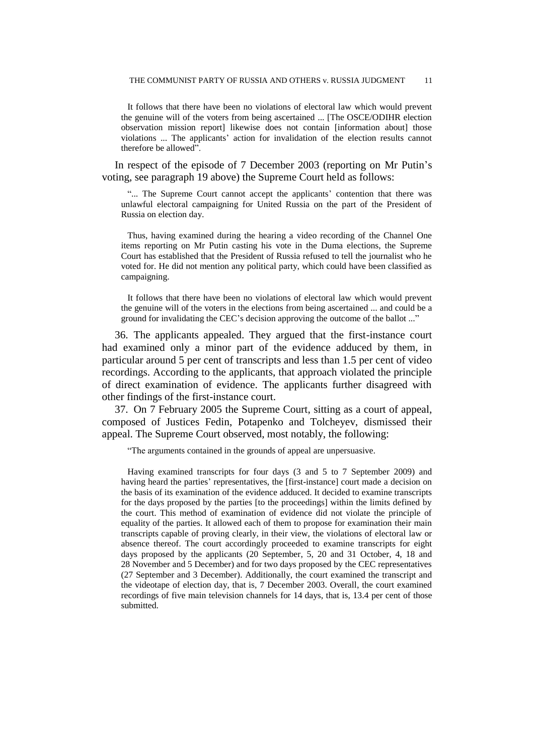It follows that there have been no violations of electoral law which would prevent the genuine will of the voters from being ascertained ... [The OSCE/ODIHR election observation mission report] likewise does not contain [information about] those violations ... The applicants' action for invalidation of the election results cannot therefore be allowed".

In respect of the episode of 7 December 2003 (reporting on Mr Putin's voting, see paragraph 19 above) the Supreme Court held as follows:

"... The Supreme Court cannot accept the applicants' contention that there was unlawful electoral campaigning for United Russia on the part of the President of Russia on election day.

Thus, having examined during the hearing a video recording of the Channel One items reporting on Mr Putin casting his vote in the Duma elections, the Supreme Court has established that the President of Russia refused to tell the journalist who he voted for. He did not mention any political party, which could have been classified as campaigning.

It follows that there have been no violations of electoral law which would prevent the genuine will of the voters in the elections from being ascertained ... and could be a ground for invalidating the CEC's decision approving the outcome of the ballot ..."

36. The applicants appealed. They argued that the first-instance court had examined only a minor part of the evidence adduced by them, in particular around 5 per cent of transcripts and less than 1.5 per cent of video recordings. According to the applicants, that approach violated the principle of direct examination of evidence. The applicants further disagreed with other findings of the first-instance court.

37. On 7 February 2005 the Supreme Court, sitting as a court of appeal, composed of Justices Fedin, Potapenko and Tolcheyev, dismissed their appeal. The Supreme Court observed, most notably, the following:

"The arguments contained in the grounds of appeal are unpersuasive.

Having examined transcripts for four days (3 and 5 to 7 September 2009) and having heard the parties' representatives, the [first-instance] court made a decision on the basis of its examination of the evidence adduced. It decided to examine transcripts for the days proposed by the parties [to the proceedings] within the limits defined by the court. This method of examination of evidence did not violate the principle of equality of the parties. It allowed each of them to propose for examination their main transcripts capable of proving clearly, in their view, the violations of electoral law or absence thereof. The court accordingly proceeded to examine transcripts for eight days proposed by the applicants (20 September, 5, 20 and 31 October, 4, 18 and 28 November and 5 December) and for two days proposed by the CEC representatives (27 September and 3 December). Additionally, the court examined the transcript and the videotape of election day, that is, 7 December 2003. Overall, the court examined recordings of five main television channels for 14 days, that is, 13.4 per cent of those submitted.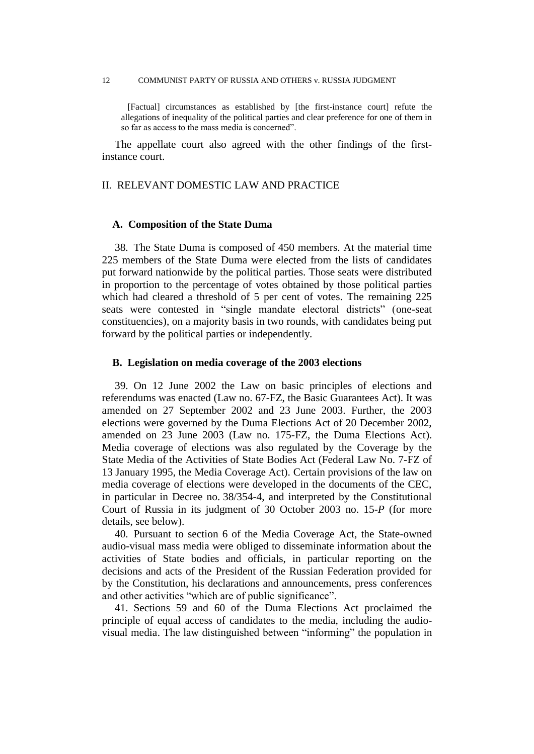#### 12 COMMUNIST PARTY OF RUSSIA AND OTHERS v. RUSSIA JUDGMENT

[Factual] circumstances as established by [the first-instance court] refute the allegations of inequality of the political parties and clear preference for one of them in so far as access to the mass media is concerned".

The appellate court also agreed with the other findings of the firstinstance court.

## II. RELEVANT DOMESTIC LAW AND PRACTICE

#### **A. Composition of the State Duma**

38. The State Duma is composed of 450 members. At the material time 225 members of the State Duma were elected from the lists of candidates put forward nationwide by the political parties. Those seats were distributed in proportion to the percentage of votes obtained by those political parties which had cleared a threshold of 5 per cent of votes. The remaining 225 seats were contested in "single mandate electoral districts" (one-seat constituencies), on a majority basis in two rounds, with candidates being put forward by the political parties or independently.

#### **B. Legislation on media coverage of the 2003 elections**

39. On 12 June 2002 the Law on basic principles of elections and referendums was enacted (Law no. 67-FZ, the Basic Guarantees Act). It was amended on 27 September 2002 and 23 June 2003. Further, the 2003 elections were governed by the Duma Elections Act of 20 December 2002, amended on 23 June 2003 (Law no. 175-FZ, the Duma Elections Act). Media coverage of elections was also regulated by the Coverage by the State Media of the Activities of State Bodies Act (Federal Law No. 7-FZ of 13 January 1995, the Media Coverage Act). Certain provisions of the law on media coverage of elections were developed in the documents of the CEC, in particular in Decree no. 38/354-4, and interpreted by the Constitutional Court of Russia in its judgment of 30 October 2003 no. 15-*P* (for more details, see below).

40. Pursuant to section 6 of the Media Coverage Act, the State-owned audio-visual mass media were obliged to disseminate information about the activities of State bodies and officials, in particular reporting on the decisions and acts of the President of the Russian Federation provided for by the Constitution, his declarations and announcements, press conferences and other activities "which are of public significance".

41. Sections 59 and 60 of the Duma Elections Act proclaimed the principle of equal access of candidates to the media, including the audiovisual media. The law distinguished between "informing" the population in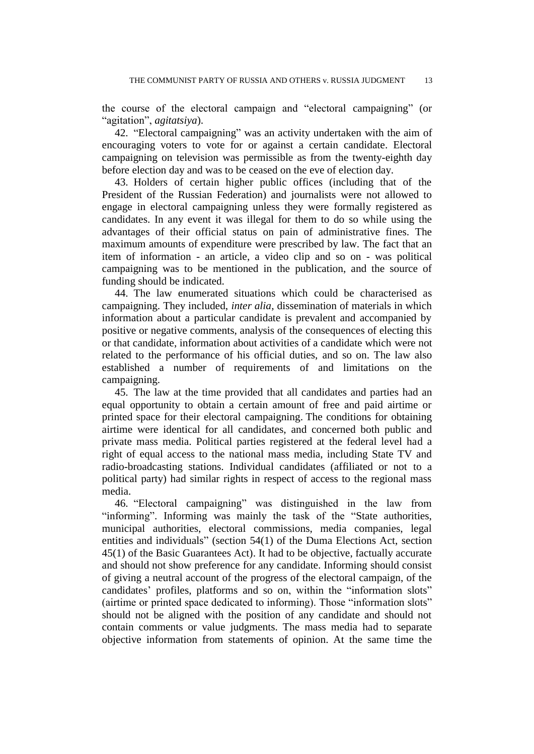the course of the electoral campaign and "electoral campaigning" (or "agitation", *agitatsiya*).

42. "Electoral campaigning" was an activity undertaken with the aim of encouraging voters to vote for or against a certain candidate. Electoral campaigning on television was permissible as from the twenty-eighth day before election day and was to be ceased on the eve of election day.

43. Holders of certain higher public offices (including that of the President of the Russian Federation) and journalists were not allowed to engage in electoral campaigning unless they were formally registered as candidates. In any event it was illegal for them to do so while using the advantages of their official status on pain of administrative fines. The maximum amounts of expenditure were prescribed by law. The fact that an item of information - an article, a video clip and so on - was political campaigning was to be mentioned in the publication, and the source of funding should be indicated.

44. The law enumerated situations which could be characterised as campaigning. They included, *inter alia*, dissemination of materials in which information about a particular candidate is prevalent and accompanied by positive or negative comments, analysis of the consequences of electing this or that candidate, information about activities of a candidate which were not related to the performance of his official duties, and so on. The law also established a number of requirements of and limitations on the campaigning.

45. The law at the time provided that all candidates and parties had an equal opportunity to obtain a certain amount of free and paid airtime or printed space for their electoral campaigning. The conditions for obtaining airtime were identical for all candidates, and concerned both public and private mass media. Political parties registered at the federal level had a right of equal access to the national mass media, including State TV and radio-broadcasting stations. Individual candidates (affiliated or not to a political party) had similar rights in respect of access to the regional mass media.

46. "Electoral campaigning" was distinguished in the law from "informing". Informing was mainly the task of the "State authorities, municipal authorities, electoral commissions, media companies, legal entities and individuals" (section 54(1) of the Duma Elections Act, section 45(1) of the Basic Guarantees Act). It had to be objective, factually accurate and should not show preference for any candidate. Informing should consist of giving a neutral account of the progress of the electoral campaign, of the candidates' profiles, platforms and so on, within the "information slots" (airtime or printed space dedicated to informing). Those "information slots" should not be aligned with the position of any candidate and should not contain comments or value judgments. The mass media had to separate objective information from statements of opinion. At the same time the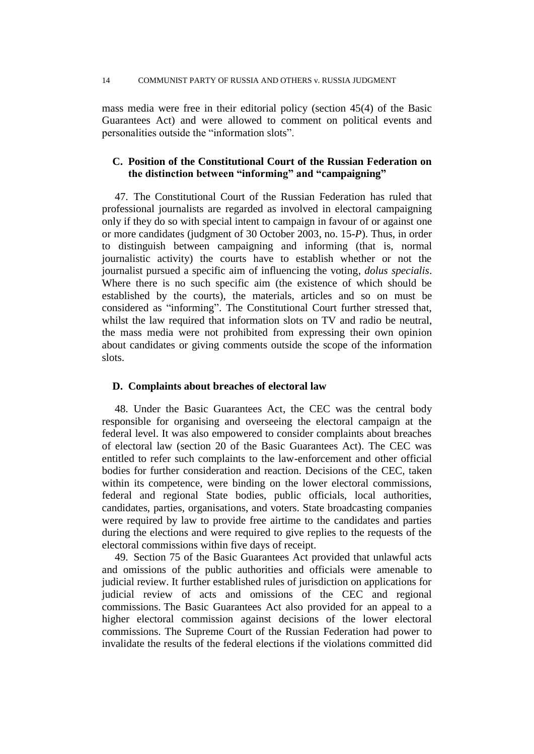mass media were free in their editorial policy (section 45(4) of the Basic Guarantees Act) and were allowed to comment on political events and personalities outside the "information slots".

# **C. Position of the Constitutional Court of the Russian Federation on the distinction between "informing" and "campaigning"**

47. The Constitutional Court of the Russian Federation has ruled that professional journalists are regarded as involved in electoral campaigning only if they do so with special intent to campaign in favour of or against one or more candidates (judgment of 30 October 2003, no. 15-*P*). Thus, in order to distinguish between campaigning and informing (that is, normal journalistic activity) the courts have to establish whether or not the journalist pursued a specific aim of influencing the voting, *dolus specialis*. Where there is no such specific aim (the existence of which should be established by the courts), the materials, articles and so on must be considered as "informing". The Constitutional Court further stressed that, whilst the law required that information slots on TV and radio be neutral, the mass media were not prohibited from expressing their own opinion about candidates or giving comments outside the scope of the information slots.

## **D. Complaints about breaches of electoral law**

48. Under the Basic Guarantees Act, the CEC was the central body responsible for organising and overseeing the electoral campaign at the federal level. It was also empowered to consider complaints about breaches of electoral law (section 20 of the Basic Guarantees Act). The CEC was entitled to refer such complaints to the law-enforcement and other official bodies for further consideration and reaction. Decisions of the CEC, taken within its competence, were binding on the lower electoral commissions, federal and regional State bodies, public officials, local authorities, candidates, parties, organisations, and voters. State broadcasting companies were required by law to provide free airtime to the candidates and parties during the elections and were required to give replies to the requests of the electoral commissions within five days of receipt.

49. Section 75 of the Basic Guarantees Act provided that unlawful acts and omissions of the public authorities and officials were amenable to judicial review. It further established rules of jurisdiction on applications for judicial review of acts and omissions of the CEC and regional commissions. The Basic Guarantees Act also provided for an appeal to a higher electoral commission against decisions of the lower electoral commissions. The Supreme Court of the Russian Federation had power to invalidate the results of the federal elections if the violations committed did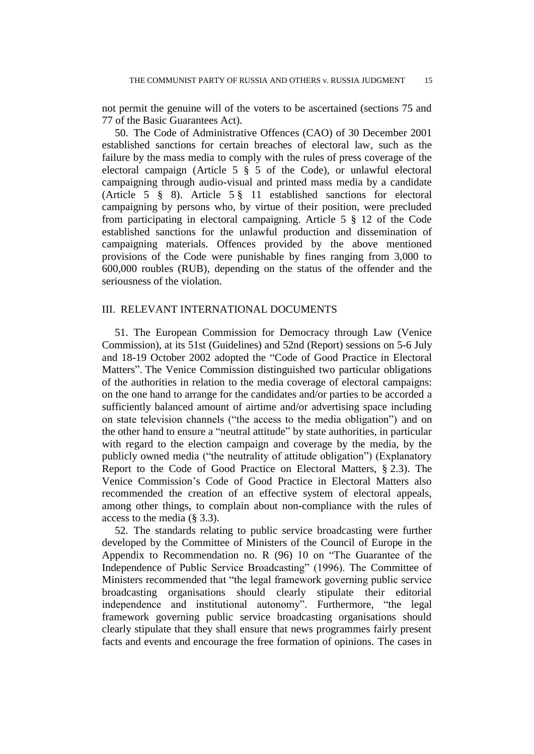not permit the genuine will of the voters to be ascertained (sections 75 and 77 of the Basic Guarantees Act).

50. The Code of Administrative Offences (CAO) of 30 December 2001 established sanctions for certain breaches of electoral law, such as the failure by the mass media to comply with the rules of press coverage of the electoral campaign (Article 5 § 5 of the Code), or unlawful electoral campaigning through audio-visual and printed mass media by a candidate (Article 5 § 8). Article 5 § 11 established sanctions for electoral campaigning by persons who, by virtue of their position, were precluded from participating in electoral campaigning. Article 5 § 12 of the Code established sanctions for the unlawful production and dissemination of campaigning materials. Offences provided by the above mentioned provisions of the Code were punishable by fines ranging from 3,000 to 600,000 roubles (RUB), depending on the status of the offender and the seriousness of the violation.

## III. RELEVANT INTERNATIONAL DOCUMENTS

51. The European Commission for Democracy through Law (Venice Commission), at its 51st (Guidelines) and 52nd (Report) sessions on 5-6 July and 18-19 October 2002 adopted the "Code of Good Practice in Electoral Matters". The Venice Commission distinguished two particular obligations of the authorities in relation to the media coverage of electoral campaigns: on the one hand to arrange for the candidates and/or parties to be accorded a sufficiently balanced amount of airtime and/or advertising space including on state television channels ("the access to the media obligation") and on the other hand to ensure a "neutral attitude" by state authorities, in particular with regard to the election campaign and coverage by the media, by the publicly owned media ("the neutrality of attitude obligation") (Explanatory Report to the Code of Good Practice on Electoral Matters, § 2.3). The Venice Commission's Code of Good Practice in Electoral Matters also recommended the creation of an effective system of electoral appeals, among other things, to complain about non-compliance with the rules of access to the media (§ 3.3).

52. The standards relating to public service broadcasting were further developed by the Committee of Ministers of the Council of Europe in the Appendix to Recommendation no. R (96) 10 on "The Guarantee of the Independence of Public Service Broadcasting" (1996). The Committee of Ministers recommended that "the legal framework governing public service broadcasting organisations should clearly stipulate their editorial independence and institutional autonomy". Furthermore, "the legal framework governing public service broadcasting organisations should clearly stipulate that they shall ensure that news programmes fairly present facts and events and encourage the free formation of opinions. The cases in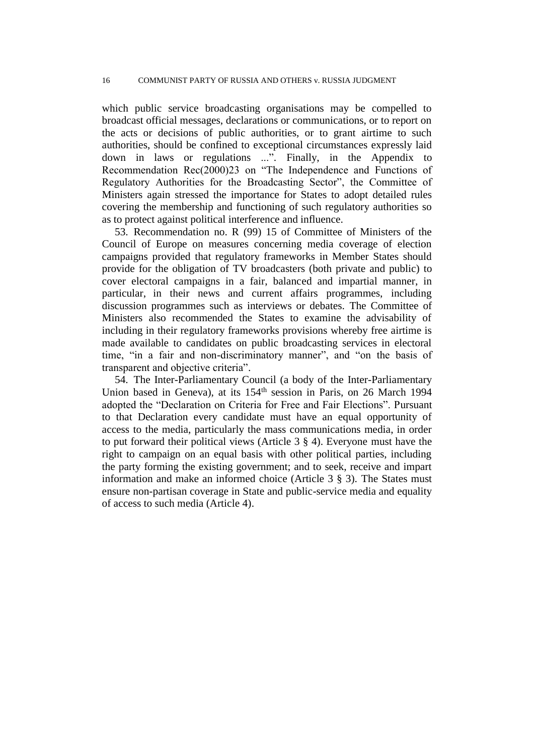which public service broadcasting organisations may be compelled to broadcast official messages, declarations or communications, or to report on the acts or decisions of public authorities, or to grant airtime to such authorities, should be confined to exceptional circumstances expressly laid down in laws or regulations ...". Finally, in the Appendix to Recommendation Rec(2000)23 on "The Independence and Functions of Regulatory Authorities for the Broadcasting Sector", the Committee of Ministers again stressed the importance for States to adopt detailed rules covering the membership and functioning of such regulatory authorities so as to protect against political interference and influence.

53. Recommendation no. R (99) 15 of Committee of Ministers of the Council of Europe on measures concerning media coverage of election campaigns provided that regulatory frameworks in Member States should provide for the obligation of TV broadcasters (both private and public) to cover electoral campaigns in a fair, balanced and impartial manner, in particular, in their news and current affairs programmes, including discussion programmes such as interviews or debates. The Committee of Ministers also recommended the States to examine the advisability of including in their regulatory frameworks provisions whereby free airtime is made available to candidates on public broadcasting services in electoral time, "in a fair and non-discriminatory manner", and "on the basis of transparent and objective criteria".

54. The Inter-Parliamentary Council (a body of the Inter-Parliamentary Union based in Geneva), at its 154th session in Paris, on 26 March 1994 adopted the "Declaration on Criteria for Free and Fair Elections". Pursuant to that Declaration every candidate must have an equal opportunity of access to the media, particularly the mass communications media, in order to put forward their political views (Article 3 § 4). Everyone must have the right to campaign on an equal basis with other political parties, including the party forming the existing government; and to seek, receive and impart information and make an informed choice (Article 3 § 3). The States must ensure non-partisan coverage in State and public-service media and equality of access to such media (Article 4).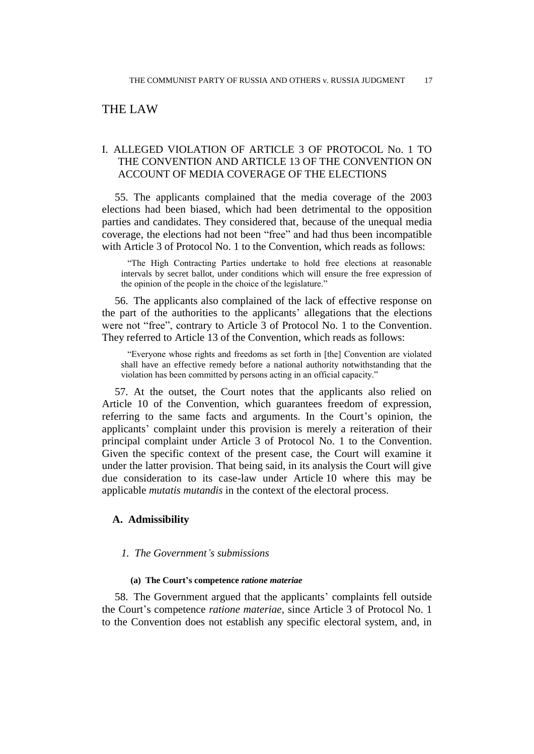# THE LAW

# I. ALLEGED VIOLATION OF ARTICLE 3 OF PROTOCOL No. 1 TO THE CONVENTION AND ARTICLE 13 OF THE CONVENTION ON ACCOUNT OF MEDIA COVERAGE OF THE ELECTIONS

55. The applicants complained that the media coverage of the 2003 elections had been biased, which had been detrimental to the opposition parties and candidates. They considered that, because of the unequal media coverage, the elections had not been "free" and had thus been incompatible with Article 3 of Protocol No. 1 to the Convention, which reads as follows:

"The High Contracting Parties undertake to hold free elections at reasonable intervals by secret ballot, under conditions which will ensure the free expression of the opinion of the people in the choice of the legislature."

56. The applicants also complained of the lack of effective response on the part of the authorities to the applicants' allegations that the elections were not "free", contrary to Article 3 of Protocol No. 1 to the Convention. They referred to Article 13 of the Convention, which reads as follows:

"Everyone whose rights and freedoms as set forth in [the] Convention are violated shall have an effective remedy before a national authority notwithstanding that the violation has been committed by persons acting in an official capacity."

57. At the outset, the Court notes that the applicants also relied on Article 10 of the Convention, which guarantees freedom of expression, referring to the same facts and arguments. In the Court's opinion, the applicants' complaint under this provision is merely a reiteration of their principal complaint under Article 3 of Protocol No. 1 to the Convention. Given the specific context of the present case, the Court will examine it under the latter provision. That being said, in its analysis the Court will give due consideration to its case-law under Article 10 where this may be applicable *mutatis mutandis* in the context of the electoral process.

## **A. Admissibility**

## *1. The Government's submissions*

#### **(a) The Court's competence** *ratione materiae*

58. The Government argued that the applicants' complaints fell outside the Court's competence *ratione materiae*, since Article 3 of Protocol No. 1 to the Convention does not establish any specific electoral system, and, in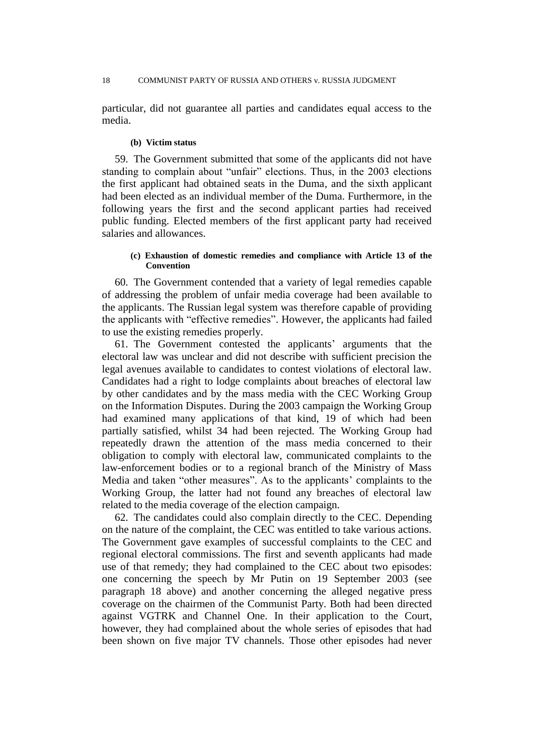particular, did not guarantee all parties and candidates equal access to the media.

#### **(b) Victim status**

59. The Government submitted that some of the applicants did not have standing to complain about "unfair" elections. Thus, in the 2003 elections the first applicant had obtained seats in the Duma, and the sixth applicant had been elected as an individual member of the Duma. Furthermore, in the following years the first and the second applicant parties had received public funding. Elected members of the first applicant party had received salaries and allowances.

#### **(c) Exhaustion of domestic remedies and compliance with Article 13 of the Convention**

60. The Government contended that a variety of legal remedies capable of addressing the problem of unfair media coverage had been available to the applicants. The Russian legal system was therefore capable of providing the applicants with "effective remedies". However, the applicants had failed to use the existing remedies properly.

61. The Government contested the applicants' arguments that the electoral law was unclear and did not describe with sufficient precision the legal avenues available to candidates to contest violations of electoral law. Candidates had a right to lodge complaints about breaches of electoral law by other candidates and by the mass media with the CEC Working Group on the Information Disputes. During the 2003 campaign the Working Group had examined many applications of that kind, 19 of which had been partially satisfied, whilst 34 had been rejected. The Working Group had repeatedly drawn the attention of the mass media concerned to their obligation to comply with electoral law, communicated complaints to the law-enforcement bodies or to a regional branch of the Ministry of Mass Media and taken "other measures". As to the applicants' complaints to the Working Group, the latter had not found any breaches of electoral law related to the media coverage of the election campaign.

62. The candidates could also complain directly to the CEC. Depending on the nature of the complaint, the CEC was entitled to take various actions. The Government gave examples of successful complaints to the CEC and regional electoral commissions. The first and seventh applicants had made use of that remedy; they had complained to the CEC about two episodes: one concerning the speech by Mr Putin on 19 September 2003 (see paragraph 18 above) and another concerning the alleged negative press coverage on the chairmen of the Communist Party. Both had been directed against VGTRK and Channel One. In their application to the Court, however, they had complained about the whole series of episodes that had been shown on five major TV channels. Those other episodes had never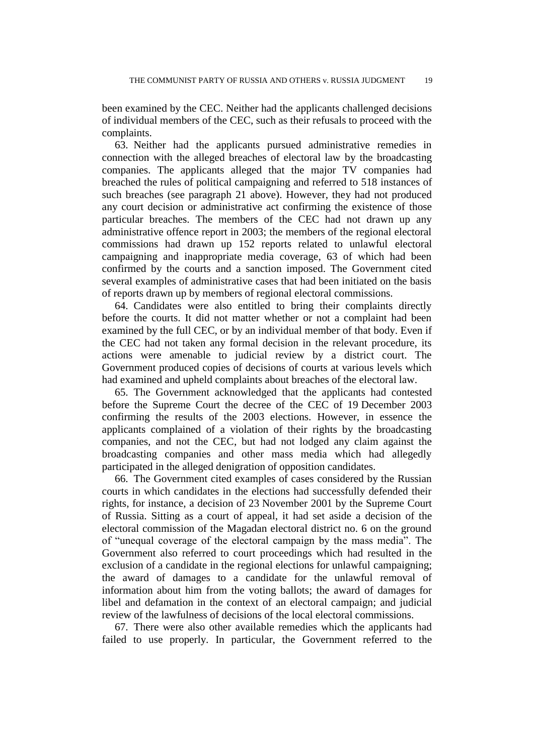been examined by the CEC. Neither had the applicants challenged decisions of individual members of the CEC, such as their refusals to proceed with the complaints.

63. Neither had the applicants pursued administrative remedies in connection with the alleged breaches of electoral law by the broadcasting companies. The applicants alleged that the major TV companies had breached the rules of political campaigning and referred to 518 instances of such breaches (see paragraph 21 above). However, they had not produced any court decision or administrative act confirming the existence of those particular breaches. The members of the CEC had not drawn up any administrative offence report in 2003; the members of the regional electoral commissions had drawn up 152 reports related to unlawful electoral campaigning and inappropriate media coverage, 63 of which had been confirmed by the courts and a sanction imposed. The Government cited several examples of administrative cases that had been initiated on the basis of reports drawn up by members of regional electoral commissions.

64. Candidates were also entitled to bring their complaints directly before the courts. It did not matter whether or not a complaint had been examined by the full CEC, or by an individual member of that body. Even if the CEC had not taken any formal decision in the relevant procedure, its actions were amenable to judicial review by a district court. The Government produced copies of decisions of courts at various levels which had examined and upheld complaints about breaches of the electoral law.

65. The Government acknowledged that the applicants had contested before the Supreme Court the decree of the CEC of 19 December 2003 confirming the results of the 2003 elections. However, in essence the applicants complained of a violation of their rights by the broadcasting companies, and not the CEC, but had not lodged any claim against the broadcasting companies and other mass media which had allegedly participated in the alleged denigration of opposition candidates.

66. The Government cited examples of cases considered by the Russian courts in which candidates in the elections had successfully defended their rights, for instance, a decision of 23 November 2001 by the Supreme Court of Russia. Sitting as a court of appeal, it had set aside a decision of the electoral commission of the Magadan electoral district no. 6 on the ground of "unequal coverage of the electoral campaign by the mass media". The Government also referred to court proceedings which had resulted in the exclusion of a candidate in the regional elections for unlawful campaigning; the award of damages to a candidate for the unlawful removal of information about him from the voting ballots; the award of damages for libel and defamation in the context of an electoral campaign; and judicial review of the lawfulness of decisions of the local electoral commissions.

67. There were also other available remedies which the applicants had failed to use properly. In particular, the Government referred to the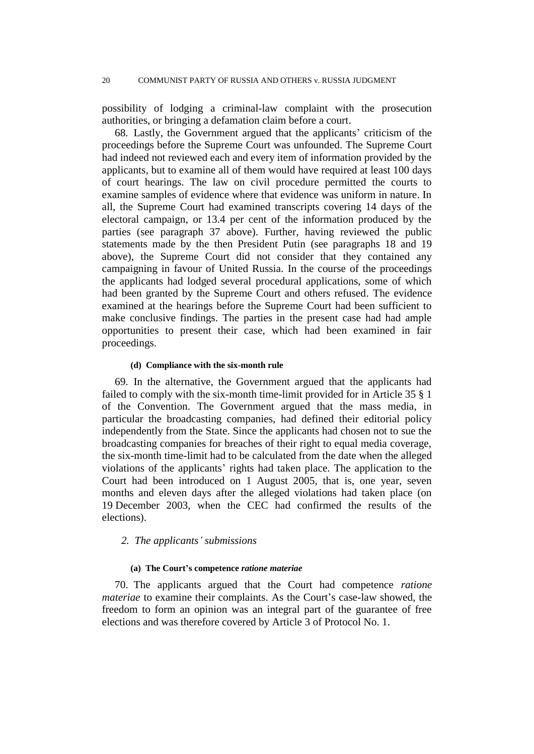possibility of lodging a criminal-law complaint with the prosecution authorities, or bringing a defamation claim before a court.

68. Lastly, the Government argued that the applicants' criticism of the proceedings before the Supreme Court was unfounded. The Supreme Court had indeed not reviewed each and every item of information provided by the applicants, but to examine all of them would have required at least 100 days of court hearings. The law on civil procedure permitted the courts to examine samples of evidence where that evidence was uniform in nature. In all, the Supreme Court had examined transcripts covering 14 days of the electoral campaign, or 13.4 per cent of the information produced by the parties (see paragraph 37 above). Further, having reviewed the public statements made by the then President Putin (see paragraphs 18 and 19 above), the Supreme Court did not consider that they contained any campaigning in favour of United Russia. In the course of the proceedings the applicants had lodged several procedural applications, some of which had been granted by the Supreme Court and others refused. The evidence examined at the hearings before the Supreme Court had been sufficient to make conclusive findings. The parties in the present case had had ample opportunities to present their case, which had been examined in fair proceedings.

#### **(d) Compliance with the six-month rule**

69. In the alternative, the Government argued that the applicants had failed to comply with the six-month time-limit provided for in Article 35 § 1 of the Convention. The Government argued that the mass media, in particular the broadcasting companies, had defined their editorial policy independently from the State. Since the applicants had chosen not to sue the broadcasting companies for breaches of their right to equal media coverage, the six-month time-limit had to be calculated from the date when the alleged violations of the applicants' rights had taken place. The application to the Court had been introduced on 1 August 2005, that is, one year, seven months and eleven days after the alleged violations had taken place (on 19 December 2003, when the CEC had confirmed the results of the elections).

## *2. The applicants' submissions*

## **(a) The Court's competence** *ratione materiae*

70. The applicants argued that the Court had competence *ratione materiae* to examine their complaints. As the Court's case-law showed, the freedom to form an opinion was an integral part of the guarantee of free elections and was therefore covered by Article 3 of Protocol No. 1.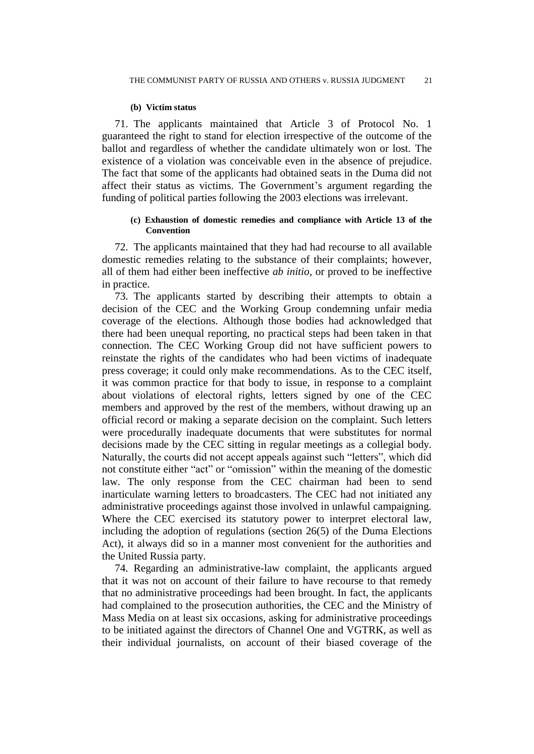#### **(b) Victim status**

71. The applicants maintained that Article 3 of Protocol No. 1 guaranteed the right to stand for election irrespective of the outcome of the ballot and regardless of whether the candidate ultimately won or lost. The existence of a violation was conceivable even in the absence of prejudice. The fact that some of the applicants had obtained seats in the Duma did not affect their status as victims. The Government's argument regarding the funding of political parties following the 2003 elections was irrelevant.

## **(c) Exhaustion of domestic remedies and compliance with Article 13 of the Convention**

72. The applicants maintained that they had had recourse to all available domestic remedies relating to the substance of their complaints; however, all of them had either been ineffective *ab initio*, or proved to be ineffective in practice.

73. The applicants started by describing their attempts to obtain a decision of the CEC and the Working Group condemning unfair media coverage of the elections. Although those bodies had acknowledged that there had been unequal reporting, no practical steps had been taken in that connection. The CEC Working Group did not have sufficient powers to reinstate the rights of the candidates who had been victims of inadequate press coverage; it could only make recommendations. As to the CEC itself, it was common practice for that body to issue, in response to a complaint about violations of electoral rights, letters signed by one of the CEC members and approved by the rest of the members, without drawing up an official record or making a separate decision on the complaint. Such letters were procedurally inadequate documents that were substitutes for normal decisions made by the CEC sitting in regular meetings as a collegial body. Naturally, the courts did not accept appeals against such "letters", which did not constitute either "act" or "omission" within the meaning of the domestic law. The only response from the CEC chairman had been to send inarticulate warning letters to broadcasters. The CEC had not initiated any administrative proceedings against those involved in unlawful campaigning. Where the CEC exercised its statutory power to interpret electoral law, including the adoption of regulations (section 26(5) of the Duma Elections Act), it always did so in a manner most convenient for the authorities and the United Russia party.

74. Regarding an administrative-law complaint, the applicants argued that it was not on account of their failure to have recourse to that remedy that no administrative proceedings had been brought. In fact, the applicants had complained to the prosecution authorities, the CEC and the Ministry of Mass Media on at least six occasions, asking for administrative proceedings to be initiated against the directors of Channel One and VGTRK, as well as their individual journalists, on account of their biased coverage of the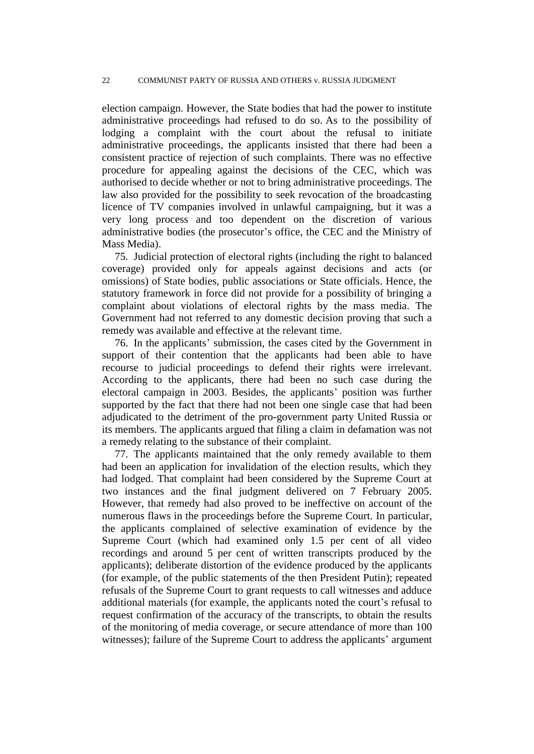election campaign. However, the State bodies that had the power to institute administrative proceedings had refused to do so. As to the possibility of lodging a complaint with the court about the refusal to initiate administrative proceedings, the applicants insisted that there had been a consistent practice of rejection of such complaints. There was no effective procedure for appealing against the decisions of the CEC, which was authorised to decide whether or not to bring administrative proceedings. The law also provided for the possibility to seek revocation of the broadcasting licence of TV companies involved in unlawful campaigning, but it was a very long process and too dependent on the discretion of various administrative bodies (the prosecutor's office, the CEC and the Ministry of Mass Media).

75. Judicial protection of electoral rights (including the right to balanced coverage) provided only for appeals against decisions and acts (or omissions) of State bodies, public associations or State officials. Hence, the statutory framework in force did not provide for a possibility of bringing a complaint about violations of electoral rights by the mass media. The Government had not referred to any domestic decision proving that such a remedy was available and effective at the relevant time.

76. In the applicants' submission, the cases cited by the Government in support of their contention that the applicants had been able to have recourse to judicial proceedings to defend their rights were irrelevant. According to the applicants, there had been no such case during the electoral campaign in 2003. Besides, the applicants' position was further supported by the fact that there had not been one single case that had been adjudicated to the detriment of the pro-government party United Russia or its members. The applicants argued that filing a claim in defamation was not a remedy relating to the substance of their complaint.

77. The applicants maintained that the only remedy available to them had been an application for invalidation of the election results, which they had lodged. That complaint had been considered by the Supreme Court at two instances and the final judgment delivered on 7 February 2005. However, that remedy had also proved to be ineffective on account of the numerous flaws in the proceedings before the Supreme Court. In particular, the applicants complained of selective examination of evidence by the Supreme Court (which had examined only 1.5 per cent of all video recordings and around 5 per cent of written transcripts produced by the applicants); deliberate distortion of the evidence produced by the applicants (for example, of the public statements of the then President Putin); repeated refusals of the Supreme Court to grant requests to call witnesses and adduce additional materials (for example, the applicants noted the court's refusal to request confirmation of the accuracy of the transcripts, to obtain the results of the monitoring of media coverage, or secure attendance of more than 100 witnesses); failure of the Supreme Court to address the applicants' argument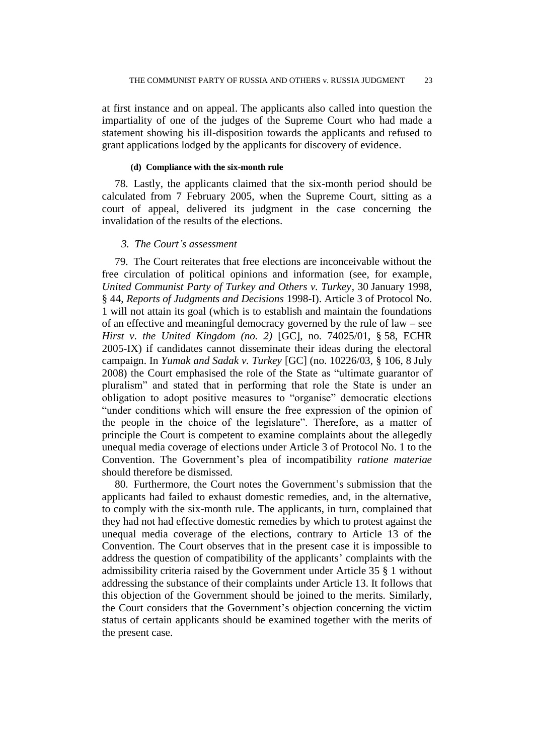at first instance and on appeal. The applicants also called into question the impartiality of one of the judges of the Supreme Court who had made a statement showing his ill-disposition towards the applicants and refused to grant applications lodged by the applicants for discovery of evidence.

#### **(d) Compliance with the six-month rule**

78. Lastly, the applicants claimed that the six-month period should be calculated from 7 February 2005, when the Supreme Court, sitting as a court of appeal, delivered its judgment in the case concerning the invalidation of the results of the elections.

## *3. The Court's assessment*

79. The Court reiterates that free elections are inconceivable without the free circulation of political opinions and information (see, for example, *United Communist Party of Turkey and Others v. Turkey*, 30 January 1998, § 44, *Reports of Judgments and Decisions* 1998-I). Article 3 of Protocol No. 1 will not attain its goal (which is to establish and maintain the foundations of an effective and meaningful democracy governed by the rule of law – see *Hirst v. the United Kingdom (no. 2)* [GC], no. 74025/01, § 58, ECHR 2005-IX) if candidates cannot disseminate their ideas during the electoral campaign. In *Yumak and Sadak v. Turkey* [GC] (no. 10226/03, § 106, 8 July 2008) the Court emphasised the role of the State as "ultimate guarantor of pluralism" and stated that in performing that role the State is under an obligation to adopt positive measures to "organise" democratic elections "under conditions which will ensure the free expression of the opinion of the people in the choice of the legislature". Therefore, as a matter of principle the Court is competent to examine complaints about the allegedly unequal media coverage of elections under Article 3 of Protocol No. 1 to the Convention. The Government's plea of incompatibility *ratione materiae* should therefore be dismissed.

80. Furthermore, the Court notes the Government's submission that the applicants had failed to exhaust domestic remedies, and, in the alternative, to comply with the six-month rule. The applicants, in turn, complained that they had not had effective domestic remedies by which to protest against the unequal media coverage of the elections, contrary to Article 13 of the Convention. The Court observes that in the present case it is impossible to address the question of compatibility of the applicants' complaints with the admissibility criteria raised by the Government under Article 35 § 1 without addressing the substance of their complaints under Article 13. It follows that this objection of the Government should be joined to the merits. Similarly, the Court considers that the Government's objection concerning the victim status of certain applicants should be examined together with the merits of the present case.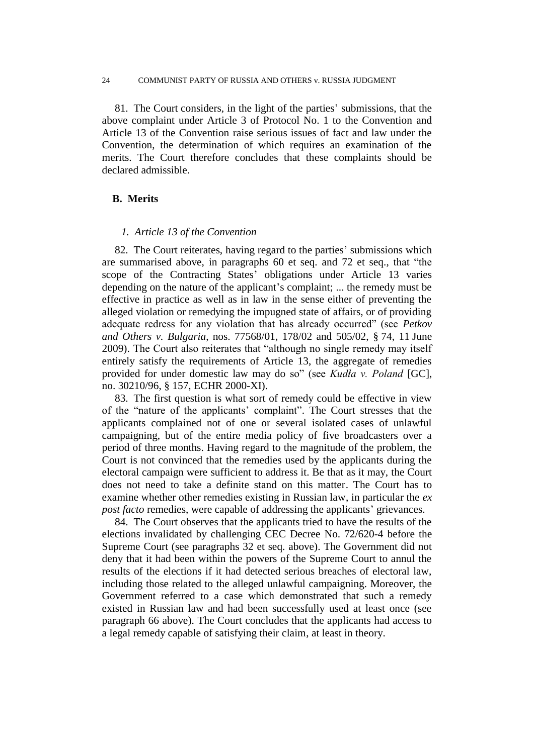#### 24 COMMUNIST PARTY OF RUSSIA AND OTHERS v. RUSSIA JUDGMENT

81. The Court considers, in the light of the parties' submissions, that the above complaint under Article 3 of Protocol No. 1 to the Convention and Article 13 of the Convention raise serious issues of fact and law under the Convention, the determination of which requires an examination of the merits. The Court therefore concludes that these complaints should be declared admissible.

## **B. Merits**

## *1. Article 13 of the Convention*

82. The Court reiterates, having regard to the parties' submissions which are summarised above, in paragraphs 60 et seq. and 72 et seq., that "the scope of the Contracting States' obligations under Article 13 varies depending on the nature of the applicant's complaint; ... the remedy must be effective in practice as well as in law in the sense either of preventing the alleged violation or remedying the impugned state of affairs, or of providing adequate redress for any violation that has already occurred" (see *Petkov and Others v. Bulgaria*, nos. 77568/01, 178/02 and 505/02, § 74, 11 June 2009). The Court also reiterates that "although no single remedy may itself entirely satisfy the requirements of Article 13, the aggregate of remedies provided for under domestic law may do so" (see *Kudła v. Poland* [GC], no. 30210/96, § 157, ECHR 2000-XI).

83. The first question is what sort of remedy could be effective in view of the "nature of the applicants' complaint". The Court stresses that the applicants complained not of one or several isolated cases of unlawful campaigning, but of the entire media policy of five broadcasters over a period of three months. Having regard to the magnitude of the problem, the Court is not convinced that the remedies used by the applicants during the electoral campaign were sufficient to address it. Be that as it may, the Court does not need to take a definite stand on this matter. The Court has to examine whether other remedies existing in Russian law, in particular the *ex post facto* remedies, were capable of addressing the applicants' grievances.

84. The Court observes that the applicants tried to have the results of the elections invalidated by challenging CEC Decree No. 72/620-4 before the Supreme Court (see paragraphs 32 et seq. above). The Government did not deny that it had been within the powers of the Supreme Court to annul the results of the elections if it had detected serious breaches of electoral law, including those related to the alleged unlawful campaigning. Moreover, the Government referred to a case which demonstrated that such a remedy existed in Russian law and had been successfully used at least once (see paragraph 66 above). The Court concludes that the applicants had access to a legal remedy capable of satisfying their claim, at least in theory.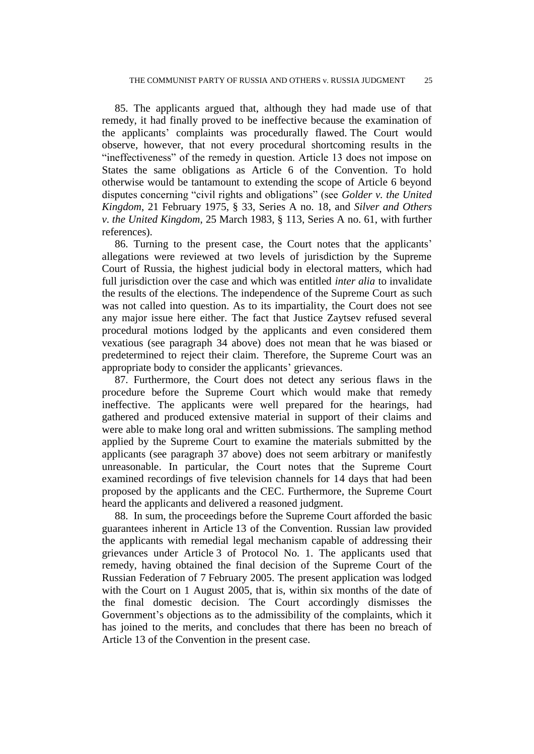85. The applicants argued that, although they had made use of that remedy, it had finally proved to be ineffective because the examination of the applicants' complaints was procedurally flawed. The Court would observe, however, that not every procedural shortcoming results in the "ineffectiveness" of the remedy in question. Article 13 does not impose on States the same obligations as Article 6 of the Convention. To hold otherwise would be tantamount to extending the scope of Article 6 beyond disputes concerning "civil rights and obligations" (see *Golder v. the United Kingdom*, 21 February 1975, § 33, Series A no. 18, and *Silver and Others v. the United Kingdom*, 25 March 1983, § 113, Series A no. 61, with further references).

86. Turning to the present case, the Court notes that the applicants' allegations were reviewed at two levels of jurisdiction by the Supreme Court of Russia, the highest judicial body in electoral matters, which had full jurisdiction over the case and which was entitled *inter alia* to invalidate the results of the elections. The independence of the Supreme Court as such was not called into question. As to its impartiality, the Court does not see any major issue here either. The fact that Justice Zaytsev refused several procedural motions lodged by the applicants and even considered them vexatious (see paragraph 34 above) does not mean that he was biased or predetermined to reject their claim. Therefore, the Supreme Court was an appropriate body to consider the applicants' grievances.

87. Furthermore, the Court does not detect any serious flaws in the procedure before the Supreme Court which would make that remedy ineffective. The applicants were well prepared for the hearings, had gathered and produced extensive material in support of their claims and were able to make long oral and written submissions. The sampling method applied by the Supreme Court to examine the materials submitted by the applicants (see paragraph 37 above) does not seem arbitrary or manifestly unreasonable. In particular, the Court notes that the Supreme Court examined recordings of five television channels for 14 days that had been proposed by the applicants and the CEC. Furthermore, the Supreme Court heard the applicants and delivered a reasoned judgment.

88. In sum, the proceedings before the Supreme Court afforded the basic guarantees inherent in Article 13 of the Convention. Russian law provided the applicants with remedial legal mechanism capable of addressing their grievances under Article 3 of Protocol No. 1. The applicants used that remedy, having obtained the final decision of the Supreme Court of the Russian Federation of 7 February 2005. The present application was lodged with the Court on 1 August 2005, that is, within six months of the date of the final domestic decision. The Court accordingly dismisses the Government's objections as to the admissibility of the complaints, which it has joined to the merits, and concludes that there has been no breach of Article 13 of the Convention in the present case.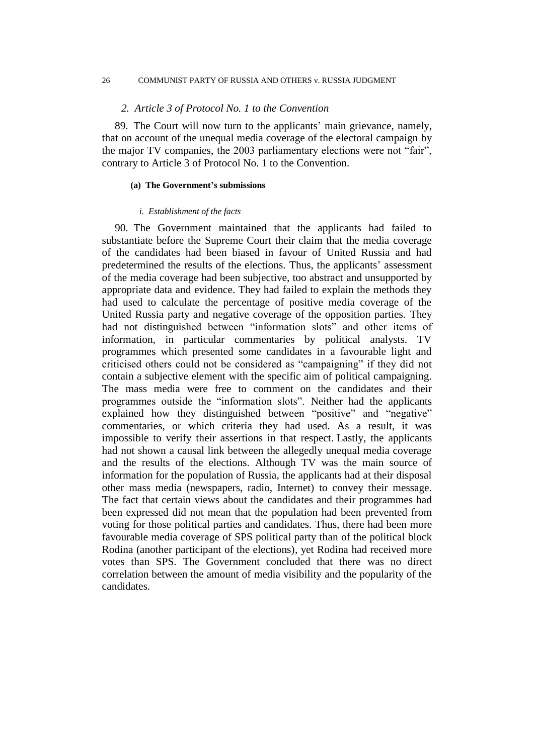#### 26 COMMUNIST PARTY OF RUSSIA AND OTHERS v. RUSSIA JUDGMENT

#### *2. Article 3 of Protocol No. 1 to the Convention*

89. The Court will now turn to the applicants' main grievance, namely, that on account of the unequal media coverage of the electoral campaign by the major TV companies, the 2003 parliamentary elections were not "fair", contrary to Article 3 of Protocol No. 1 to the Convention.

#### **(a) The Government's submissions**

#### *i. Establishment of the facts*

90. The Government maintained that the applicants had failed to substantiate before the Supreme Court their claim that the media coverage of the candidates had been biased in favour of United Russia and had predetermined the results of the elections. Thus, the applicants' assessment of the media coverage had been subjective, too abstract and unsupported by appropriate data and evidence. They had failed to explain the methods they had used to calculate the percentage of positive media coverage of the United Russia party and negative coverage of the opposition parties. They had not distinguished between "information slots" and other items of information, in particular commentaries by political analysts. TV programmes which presented some candidates in a favourable light and criticised others could not be considered as "campaigning" if they did not contain a subjective element with the specific aim of political campaigning. The mass media were free to comment on the candidates and their programmes outside the "information slots". Neither had the applicants explained how they distinguished between "positive" and "negative" commentaries, or which criteria they had used. As a result, it was impossible to verify their assertions in that respect. Lastly, the applicants had not shown a causal link between the allegedly unequal media coverage and the results of the elections. Although TV was the main source of information for the population of Russia, the applicants had at their disposal other mass media (newspapers, radio, Internet) to convey their message. The fact that certain views about the candidates and their programmes had been expressed did not mean that the population had been prevented from voting for those political parties and candidates. Thus, there had been more favourable media coverage of SPS political party than of the political block Rodina (another participant of the elections), yet Rodina had received more votes than SPS. The Government concluded that there was no direct correlation between the amount of media visibility and the popularity of the candidates.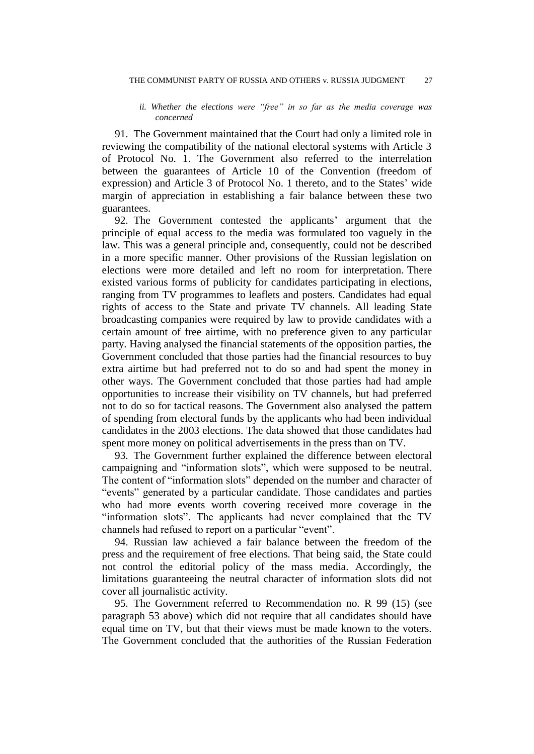#### *ii. Whether the elections were "free" in so far as the media coverage was concerned*

91. The Government maintained that the Court had only a limited role in reviewing the compatibility of the national electoral systems with Article 3 of Protocol No. 1. The Government also referred to the interrelation between the guarantees of Article 10 of the Convention (freedom of expression) and Article 3 of Protocol No. 1 thereto, and to the States' wide margin of appreciation in establishing a fair balance between these two guarantees.

92. The Government contested the applicants' argument that the principle of equal access to the media was formulated too vaguely in the law. This was a general principle and, consequently, could not be described in a more specific manner. Other provisions of the Russian legislation on elections were more detailed and left no room for interpretation. There existed various forms of publicity for candidates participating in elections, ranging from TV programmes to leaflets and posters. Candidates had equal rights of access to the State and private TV channels. All leading State broadcasting companies were required by law to provide candidates with a certain amount of free airtime, with no preference given to any particular party. Having analysed the financial statements of the opposition parties, the Government concluded that those parties had the financial resources to buy extra airtime but had preferred not to do so and had spent the money in other ways. The Government concluded that those parties had had ample opportunities to increase their visibility on TV channels, but had preferred not to do so for tactical reasons. The Government also analysed the pattern of spending from electoral funds by the applicants who had been individual candidates in the 2003 elections. The data showed that those candidates had spent more money on political advertisements in the press than on TV.

93. The Government further explained the difference between electoral campaigning and "information slots", which were supposed to be neutral. The content of "information slots" depended on the number and character of "events" generated by a particular candidate. Those candidates and parties who had more events worth covering received more coverage in the "information slots". The applicants had never complained that the TV channels had refused to report on a particular "event".

94. Russian law achieved a fair balance between the freedom of the press and the requirement of free elections. That being said, the State could not control the editorial policy of the mass media. Accordingly, the limitations guaranteeing the neutral character of information slots did not cover all journalistic activity.

95. The Government referred to Recommendation no. R 99 (15) (see paragraph 53 above) which did not require that all candidates should have equal time on TV, but that their views must be made known to the voters. The Government concluded that the authorities of the Russian Federation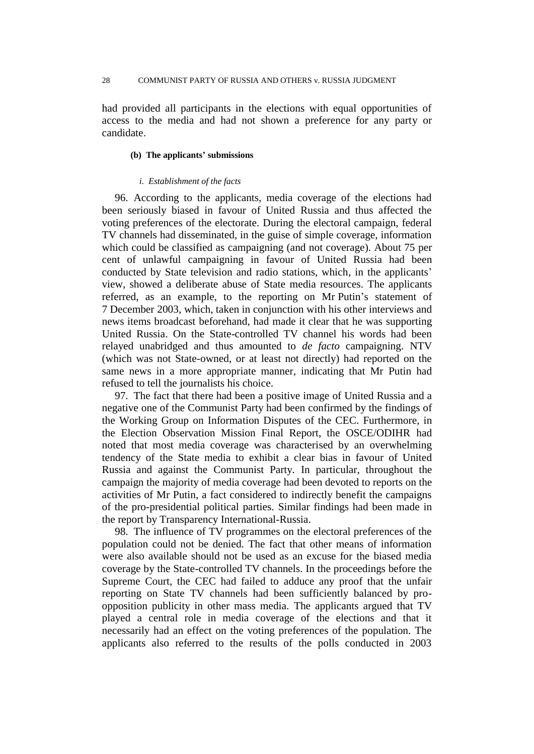had provided all participants in the elections with equal opportunities of access to the media and had not shown a preference for any party or candidate.

## **(b) The applicants' submissions**

#### *i. Establishment of the facts*

96. According to the applicants, media coverage of the elections had been seriously biased in favour of United Russia and thus affected the voting preferences of the electorate. During the electoral campaign, federal TV channels had disseminated, in the guise of simple coverage, information which could be classified as campaigning (and not coverage). About 75 per cent of unlawful campaigning in favour of United Russia had been conducted by State television and radio stations, which, in the applicants' view, showed a deliberate abuse of State media resources. The applicants referred, as an example, to the reporting on Mr Putin's statement of 7 December 2003, which, taken in conjunction with his other interviews and news items broadcast beforehand, had made it clear that he was supporting United Russia. On the State-controlled TV channel his words had been relayed unabridged and thus amounted to *de facto* campaigning. NTV (which was not State-owned, or at least not directly) had reported on the same news in a more appropriate manner, indicating that Mr Putin had refused to tell the journalists his choice.

97. The fact that there had been a positive image of United Russia and a negative one of the Communist Party had been confirmed by the findings of the Working Group on Information Disputes of the CEC. Furthermore, in the Election Observation Mission Final Report, the OSCE/ODIHR had noted that most media coverage was characterised by an overwhelming tendency of the State media to exhibit a clear bias in favour of United Russia and against the Communist Party. In particular, throughout the campaign the majority of media coverage had been devoted to reports on the activities of Mr Putin, a fact considered to indirectly benefit the campaigns of the pro-presidential political parties. Similar findings had been made in the report by Transparency International-Russia.

98. The influence of TV programmes on the electoral preferences of the population could not be denied. The fact that other means of information were also available should not be used as an excuse for the biased media coverage by the State-controlled TV channels. In the proceedings before the Supreme Court, the CEC had failed to adduce any proof that the unfair reporting on State TV channels had been sufficiently balanced by proopposition publicity in other mass media. The applicants argued that TV played a central role in media coverage of the elections and that it necessarily had an effect on the voting preferences of the population. The applicants also referred to the results of the polls conducted in 2003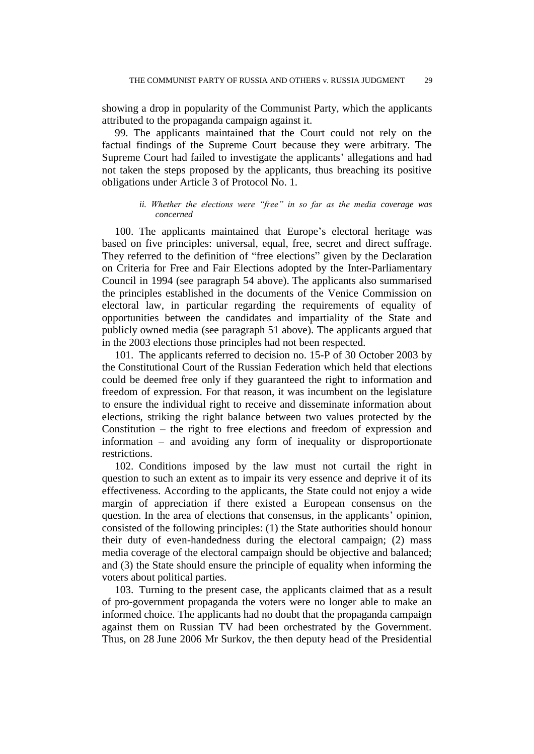showing a drop in popularity of the Communist Party, which the applicants attributed to the propaganda campaign against it.

99. The applicants maintained that the Court could not rely on the factual findings of the Supreme Court because they were arbitrary. The Supreme Court had failed to investigate the applicants' allegations and had not taken the steps proposed by the applicants, thus breaching its positive obligations under Article 3 of Protocol No. 1.

## *ii. Whether the elections were "free" in so far as the media coverage was concerned*

100. The applicants maintained that Europe's electoral heritage was based on five principles: universal, equal, free, secret and direct suffrage. They referred to the definition of "free elections" given by the Declaration on Criteria for Free and Fair Elections adopted by the Inter-Parliamentary Council in 1994 (see paragraph 54 above). The applicants also summarised the principles established in the documents of the Venice Commission on electoral law, in particular regarding the requirements of equality of opportunities between the candidates and impartiality of the State and publicly owned media (see paragraph 51 above). The applicants argued that in the 2003 elections those principles had not been respected.

101. The applicants referred to decision no. 15-P of 30 October 2003 by the Constitutional Court of the Russian Federation which held that elections could be deemed free only if they guaranteed the right to information and freedom of expression. For that reason, it was incumbent on the legislature to ensure the individual right to receive and disseminate information about elections, striking the right balance between two values protected by the Constitution – the right to free elections and freedom of expression and information – and avoiding any form of inequality or disproportionate restrictions.

102. Conditions imposed by the law must not curtail the right in question to such an extent as to impair its very essence and deprive it of its effectiveness. According to the applicants, the State could not enjoy a wide margin of appreciation if there existed a European consensus on the question. In the area of elections that consensus, in the applicants' opinion, consisted of the following principles: (1) the State authorities should honour their duty of even-handedness during the electoral campaign; (2) mass media coverage of the electoral campaign should be objective and balanced; and (3) the State should ensure the principle of equality when informing the voters about political parties.

103. Turning to the present case, the applicants claimed that as a result of pro-government propaganda the voters were no longer able to make an informed choice. The applicants had no doubt that the propaganda campaign against them on Russian TV had been orchestrated by the Government. Thus, on 28 June 2006 Mr Surkov, the then deputy head of the Presidential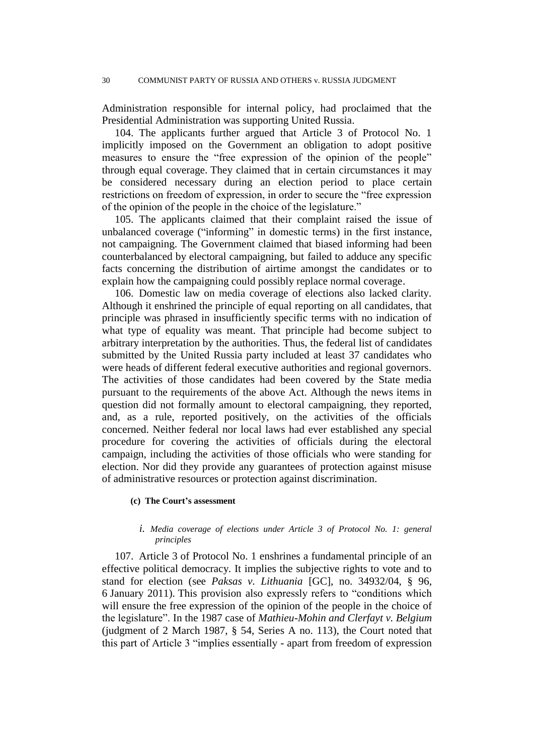Administration responsible for internal policy, had proclaimed that the Presidential Administration was supporting United Russia.

104. The applicants further argued that Article 3 of Protocol No. 1 implicitly imposed on the Government an obligation to adopt positive measures to ensure the "free expression of the opinion of the people" through equal coverage. They claimed that in certain circumstances it may be considered necessary during an election period to place certain restrictions on freedom of expression, in order to secure the "free expression of the opinion of the people in the choice of the legislature."

105. The applicants claimed that their complaint raised the issue of unbalanced coverage ("informing" in domestic terms) in the first instance, not campaigning. The Government claimed that biased informing had been counterbalanced by electoral campaigning, but failed to adduce any specific facts concerning the distribution of airtime amongst the candidates or to explain how the campaigning could possibly replace normal coverage.

106. Domestic law on media coverage of elections also lacked clarity. Although it enshrined the principle of equal reporting on all candidates, that principle was phrased in insufficiently specific terms with no indication of what type of equality was meant. That principle had become subject to arbitrary interpretation by the authorities. Thus, the federal list of candidates submitted by the United Russia party included at least 37 candidates who were heads of different federal executive authorities and regional governors. The activities of those candidates had been covered by the State media pursuant to the requirements of the above Act. Although the news items in question did not formally amount to electoral campaigning, they reported, and, as a rule, reported positively, on the activities of the officials concerned. Neither federal nor local laws had ever established any special procedure for covering the activities of officials during the electoral campaign, including the activities of those officials who were standing for election. Nor did they provide any guarantees of protection against misuse of administrative resources or protection against discrimination.

#### **(c) The Court's assessment**

## *i. Media coverage of elections under Article 3 of Protocol No. 1: general principles*

107. Article 3 of Protocol No. 1 enshrines a fundamental principle of an effective political democracy. It implies the subjective rights to vote and to stand for election (see *Paksas v. Lithuania* [GC], no. 34932/04, § 96, 6 January 2011). This provision also expressly refers to "conditions which will ensure the free expression of the opinion of the people in the choice of the legislature". In the 1987 case of *Mathieu-Mohin and Clerfayt v. Belgium* (judgment of 2 March 1987, § 54, Series A no. 113), the Court noted that this part of Article 3 "implies essentially - apart from freedom of expression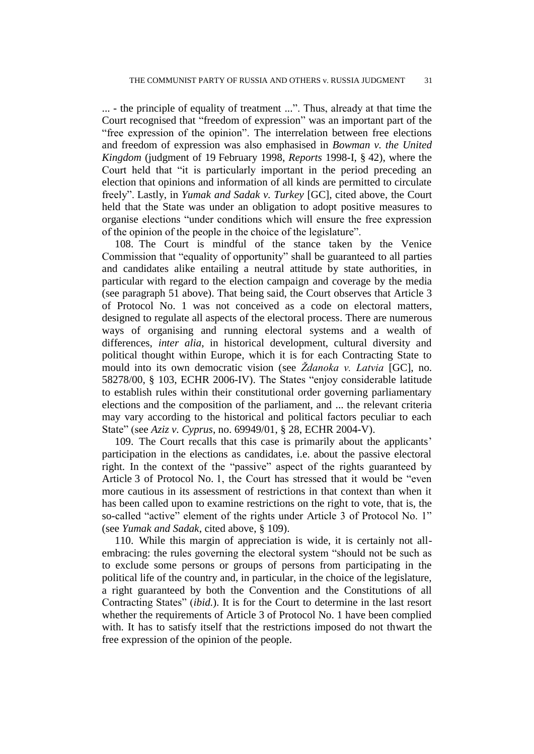... - the principle of equality of treatment ...". Thus, already at that time the Court recognised that "freedom of expression" was an important part of the "free expression of the opinion". The interrelation between free elections and freedom of expression was also emphasised in *Bowman v. the United Kingdom* (judgment of 19 February 1998, *Reports* 1998-I, § 42), where the Court held that "it is particularly important in the period preceding an election that opinions and information of all kinds are permitted to circulate freely". Lastly, in *Yumak and Sadak v. Turkey* [GC], cited above, the Court held that the State was under an obligation to adopt positive measures to organise elections "under conditions which will ensure the free expression of the opinion of the people in the choice of the legislature".

108. The Court is mindful of the stance taken by the Venice Commission that "equality of opportunity" shall be guaranteed to all parties and candidates alike entailing a neutral attitude by state authorities, in particular with regard to the election campaign and coverage by the media (see paragraph 51 above). That being said, the Court observes that Article 3 of Protocol No. 1 was not conceived as a code on electoral matters, designed to regulate all aspects of the electoral process. There are numerous ways of organising and running electoral systems and a wealth of differences, *inter alia*, in historical development, cultural diversity and political thought within Europe, which it is for each Contracting State to mould into its own democratic vision (see *Ždanoka v. Latvia* [GC], no. 58278/00, § 103, ECHR 2006-IV). The States "enjoy considerable latitude to establish rules within their constitutional order governing parliamentary elections and the composition of the parliament, and ... the relevant criteria may vary according to the historical and political factors peculiar to each State" (see *Aziz v. Cyprus*, no. 69949/01, § 28, ECHR 2004-V).

109. The Court recalls that this case is primarily about the applicants' participation in the elections as candidates, i.e. about the passive electoral right. In the context of the "passive" aspect of the rights guaranteed by Article 3 of Protocol No. 1, the Court has stressed that it would be "even more cautious in its assessment of restrictions in that context than when it has been called upon to examine restrictions on the right to vote, that is, the so-called "active" element of the rights under Article 3 of Protocol No. 1" (see *Yumak and Sadak*, cited above, § 109).

110. While this margin of appreciation is wide, it is certainly not allembracing: the rules governing the electoral system "should not be such as to exclude some persons or groups of persons from participating in the political life of the country and, in particular, in the choice of the legislature, a right guaranteed by both the Convention and the Constitutions of all Contracting States" (*ibid.*). It is for the Court to determine in the last resort whether the requirements of Article 3 of Protocol No. 1 have been complied with. It has to satisfy itself that the restrictions imposed do not thwart the free expression of the opinion of the people.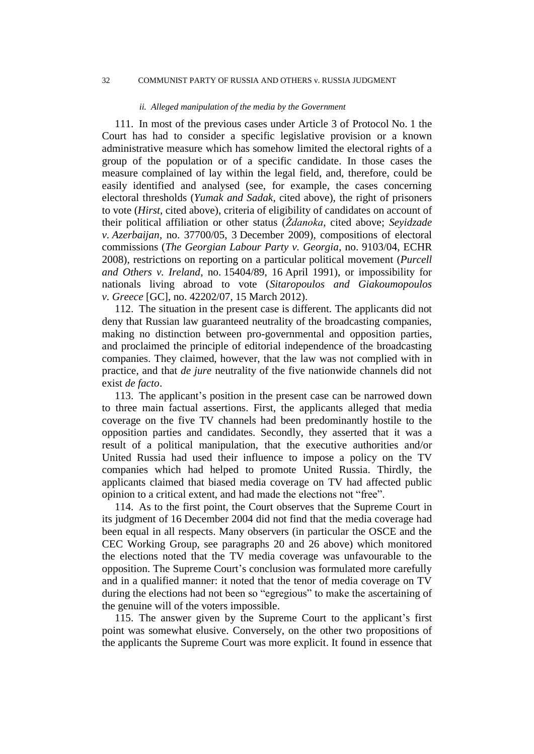#### 32 COMMUNIST PARTY OF RUSSIA AND OTHERS v. RUSSIA JUDGMENT

#### *ii. Alleged manipulation of the media by the Government*

111. In most of the previous cases under Article 3 of Protocol No. 1 the Court has had to consider a specific legislative provision or a known administrative measure which has somehow limited the electoral rights of a group of the population or of a specific candidate. In those cases the measure complained of lay within the legal field, and, therefore, could be easily identified and analysed (see, for example, the cases concerning electoral thresholds (*Yumak and Sadak*, cited above), the right of prisoners to vote (*Hirst*, cited above), criteria of eligibility of candidates on account of their political affiliation or other status (*Ždanoka*, cited above; *Seyidzade v. Azerbaijan*, no. 37700/05, 3 December 2009), compositions of electoral commissions (*The Georgian Labour Party v. Georgia*, no. 9103/04, ECHR 2008), restrictions on reporting on a particular political movement (*Purcell and Others v. Ireland*, no. 15404/89, 16 April 1991), or impossibility for nationals living abroad to vote (*Sitaropoulos and Giakoumopoulos v. Greece* [GC], no. 42202/07, 15 March 2012).

112. The situation in the present case is different. The applicants did not deny that Russian law guaranteed neutrality of the broadcasting companies, making no distinction between pro-governmental and opposition parties, and proclaimed the principle of editorial independence of the broadcasting companies. They claimed, however, that the law was not complied with in practice, and that *de jure* neutrality of the five nationwide channels did not exist *de facto*.

113. The applicant's position in the present case can be narrowed down to three main factual assertions. First, the applicants alleged that media coverage on the five TV channels had been predominantly hostile to the opposition parties and candidates. Secondly, they asserted that it was a result of a political manipulation, that the executive authorities and/or United Russia had used their influence to impose a policy on the TV companies which had helped to promote United Russia. Thirdly, the applicants claimed that biased media coverage on TV had affected public opinion to a critical extent, and had made the elections not "free".

114. As to the first point, the Court observes that the Supreme Court in its judgment of 16 December 2004 did not find that the media coverage had been equal in all respects. Many observers (in particular the OSCE and the CEC Working Group, see paragraphs 20 and 26 above) which monitored the elections noted that the TV media coverage was unfavourable to the opposition. The Supreme Court's conclusion was formulated more carefully and in a qualified manner: it noted that the tenor of media coverage on TV during the elections had not been so "egregious" to make the ascertaining of the genuine will of the voters impossible.

115. The answer given by the Supreme Court to the applicant's first point was somewhat elusive. Conversely, on the other two propositions of the applicants the Supreme Court was more explicit. It found in essence that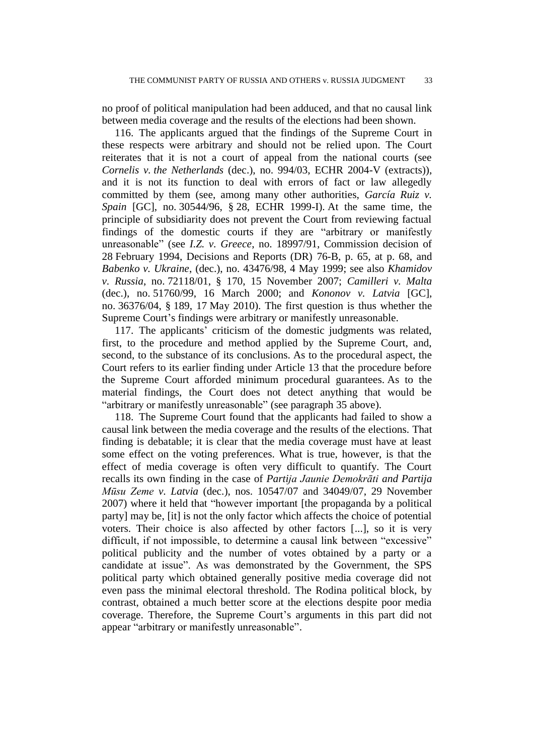no proof of political manipulation had been adduced, and that no causal link between media coverage and the results of the elections had been shown.

116. The applicants argued that the findings of the Supreme Court in these respects were arbitrary and should not be relied upon. The Court reiterates that it is not a court of appeal from the national courts (see *Cornelis v. the Netherlands* (dec.), no. 994/03, ECHR 2004-V (extracts)), and it is not its function to deal with errors of fact or law allegedly committed by them (see, among many other authorities, *García Ruiz v. Spain* [GC], no. 30544/96, § 28, ECHR 1999-I). At the same time, the principle of subsidiarity does not prevent the Court from reviewing factual findings of the domestic courts if they are "arbitrary or manifestly unreasonable" (see *I.Z. v. Greece*, no. 18997/91, Commission decision of 28 February 1994, Decisions and Reports (DR) 76-B, p. 65, at p. 68, and *Babenko v. Ukraine*, (dec.), no. 43476/98, 4 May 1999; see also *Khamidov v. Russia*, no. 72118/01, § 170, 15 November 2007; *Camilleri v. Malta* (dec.), no. 51760/99, 16 March 2000; and *Kononov v. Latvia* [GC], no. 36376/04, § 189, 17 May 2010). The first question is thus whether the Supreme Court's findings were arbitrary or manifestly unreasonable.

117. The applicants' criticism of the domestic judgments was related, first, to the procedure and method applied by the Supreme Court, and, second, to the substance of its conclusions. As to the procedural aspect, the Court refers to its earlier finding under Article 13 that the procedure before the Supreme Court afforded minimum procedural guarantees. As to the material findings, the Court does not detect anything that would be "arbitrary or manifestly unreasonable" (see paragraph 35 above).

118. The Supreme Court found that the applicants had failed to show a causal link between the media coverage and the results of the elections. That finding is debatable; it is clear that the media coverage must have at least some effect on the voting preferences. What is true, however, is that the effect of media coverage is often very difficult to quantify. The Court recalls its own finding in the case of *Partija Jaunie Demokrāti and Partija Mūsu Zeme v. Latvia* (dec.), nos. 10547/07 and 34049/07, 29 November 2007) where it held that "however important [the propaganda by a political party] may be, [it] is not the only factor which affects the choice of potential voters. Their choice is also affected by other factors [...], so it is very difficult, if not impossible, to determine a causal link between "excessive" political publicity and the number of votes obtained by a party or a candidate at issue". As was demonstrated by the Government, the SPS political party which obtained generally positive media coverage did not even pass the minimal electoral threshold. The Rodina political block, by contrast, obtained a much better score at the elections despite poor media coverage. Therefore, the Supreme Court's arguments in this part did not appear "arbitrary or manifestly unreasonable".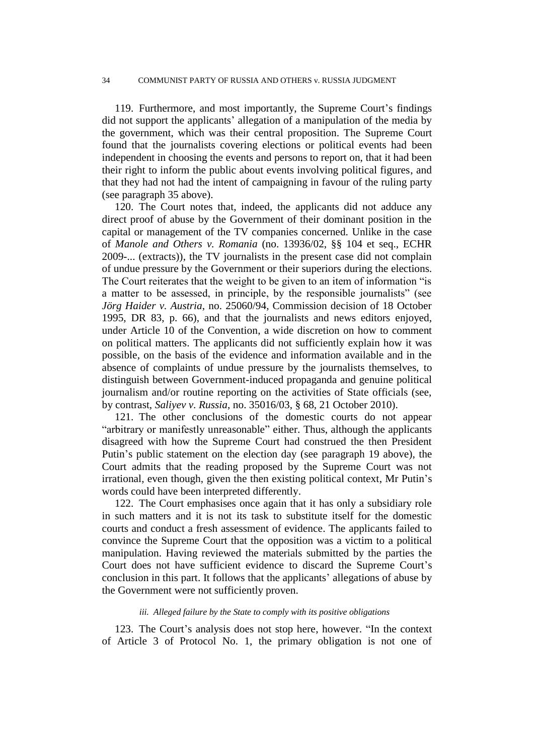119. Furthermore, and most importantly, the Supreme Court's findings did not support the applicants' allegation of a manipulation of the media by the government, which was their central proposition. The Supreme Court found that the journalists covering elections or political events had been independent in choosing the events and persons to report on, that it had been their right to inform the public about events involving political figures, and that they had not had the intent of campaigning in favour of the ruling party (see paragraph 35 above).

120. The Court notes that, indeed, the applicants did not adduce any direct proof of abuse by the Government of their dominant position in the capital or management of the TV companies concerned. Unlike in the case of *Manole and Others v. Romania* (no. 13936/02, §§ 104 et seq., ECHR 2009-... (extracts)), the TV journalists in the present case did not complain of undue pressure by the Government or their superiors during the elections. The Court reiterates that the weight to be given to an item of information "is a matter to be assessed, in principle, by the responsible journalists" (see *Jörg Haider v. Austria*, no. 25060/94, Commission decision of 18 October 1995, DR 83, p. 66), and that the journalists and news editors enjoyed, under Article 10 of the Convention, a wide discretion on how to comment on political matters. The applicants did not sufficiently explain how it was possible, on the basis of the evidence and information available and in the absence of complaints of undue pressure by the journalists themselves, to distinguish between Government-induced propaganda and genuine political journalism and/or routine reporting on the activities of State officials (see, by contrast, *Saliyev v. Russia*, no. 35016/03, § 68, 21 October 2010).

121. The other conclusions of the domestic courts do not appear "arbitrary or manifestly unreasonable" either. Thus, although the applicants disagreed with how the Supreme Court had construed the then President Putin's public statement on the election day (see paragraph 19 above), the Court admits that the reading proposed by the Supreme Court was not irrational, even though, given the then existing political context, Mr Putin's words could have been interpreted differently.

122. The Court emphasises once again that it has only a subsidiary role in such matters and it is not its task to substitute itself for the domestic courts and conduct a fresh assessment of evidence. The applicants failed to convince the Supreme Court that the opposition was a victim to a political manipulation. Having reviewed the materials submitted by the parties the Court does not have sufficient evidence to discard the Supreme Court's conclusion in this part. It follows that the applicants' allegations of abuse by the Government were not sufficiently proven.

#### *iii. Alleged failure by the State to comply with its positive obligations*

123. The Court's analysis does not stop here, however. "In the context of Article 3 of Protocol No. 1, the primary obligation is not one of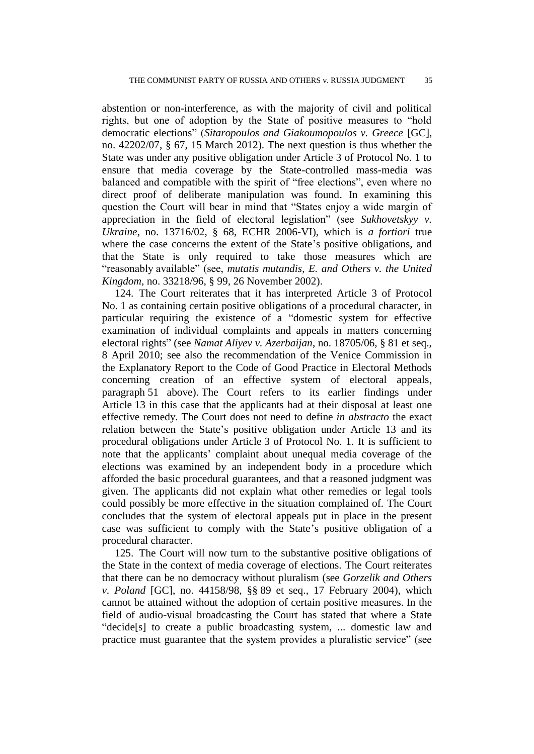abstention or non-interference, as with the majority of civil and political rights, but one of adoption by the State of positive measures to "hold democratic elections" (*Sitaropoulos and Giakoumopoulos v. Greece* [GC], no. 42202/07, § 67, 15 March 2012). The next question is thus whether the State was under any positive obligation under Article 3 of Protocol No. 1 to ensure that media coverage by the State-controlled mass-media was balanced and compatible with the spirit of "free elections", even where no direct proof of deliberate manipulation was found. In examining this question the Court will bear in mind that "States enjoy a wide margin of appreciation in the field of electoral legislation" (see *Sukhovetskyy v. Ukraine*, no. 13716/02, § 68, ECHR 2006-VI), which is *a fortiori* true where the case concerns the extent of the State's positive obligations, and that the State is only required to take those measures which are "reasonably available" (see, *mutatis mutandis*, *E. and Others v. the United Kingdom*, no. 33218/96, § 99, 26 November 2002).

124. The Court reiterates that it has interpreted Article 3 of Protocol No. 1 as containing certain positive obligations of a procedural character, in particular requiring the existence of a "domestic system for effective examination of individual complaints and appeals in matters concerning electoral rights" (see *Namat Aliyev v. Azerbaijan*, no. 18705/06, § 81 et seq., 8 April 2010; see also the recommendation of the Venice Commission in the Explanatory Report to the Code of Good Practice in Electoral Methods concerning creation of an effective system of electoral appeals, paragraph 51 above). The Court refers to its earlier findings under Article 13 in this case that the applicants had at their disposal at least one effective remedy. The Court does not need to define *in abstracto* the exact relation between the State's positive obligation under Article 13 and its procedural obligations under Article 3 of Protocol No. 1. It is sufficient to note that the applicants' complaint about unequal media coverage of the elections was examined by an independent body in a procedure which afforded the basic procedural guarantees, and that a reasoned judgment was given. The applicants did not explain what other remedies or legal tools could possibly be more effective in the situation complained of. The Court concludes that the system of electoral appeals put in place in the present case was sufficient to comply with the State's positive obligation of a procedural character.

125. The Court will now turn to the substantive positive obligations of the State in the context of media coverage of elections. The Court reiterates that there can be no democracy without pluralism (see *Gorzelik and Others v. Poland* [GC], no. 44158/98, §§ 89 et seq., 17 February 2004), which cannot be attained without the adoption of certain positive measures. In the field of audio-visual broadcasting the Court has stated that where a State "decide[s] to create a public broadcasting system, ... domestic law and practice must guarantee that the system provides a pluralistic service" (see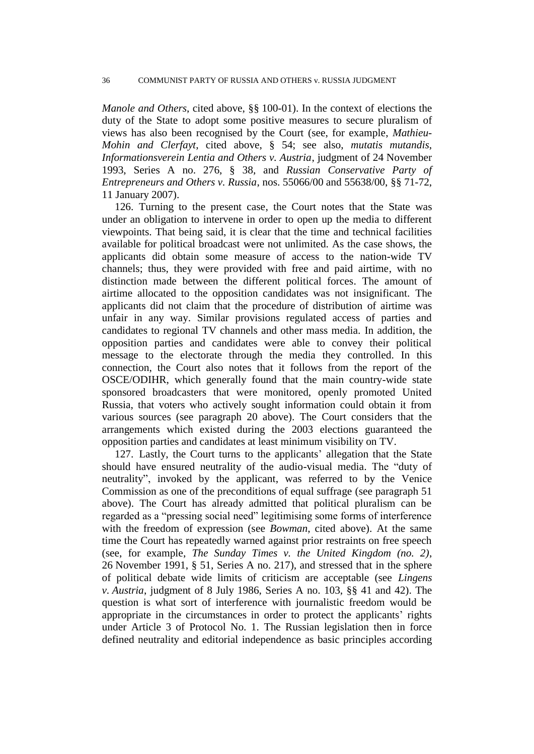*Manole and Others*, cited above, §§ 100-01). In the context of elections the duty of the State to adopt some positive measures to secure pluralism of views has also been recognised by the Court (see, for example, *Mathieu-Mohin and Clerfayt*, cited above, § 54; see also, *mutatis mutandis*, *Informationsverein Lentia and Others v. Austria*, judgment of 24 November 1993, Series A no. 276, § 38, and *Russian Conservative Party of Entrepreneurs and Others v. Russia*, nos. 55066/00 and 55638/00, §§ 71-72, 11 January 2007).

126. Turning to the present case, the Court notes that the State was under an obligation to intervene in order to open up the media to different viewpoints. That being said, it is clear that the time and technical facilities available for political broadcast were not unlimited. As the case shows, the applicants did obtain some measure of access to the nation-wide TV channels; thus, they were provided with free and paid airtime, with no distinction made between the different political forces. The amount of airtime allocated to the opposition candidates was not insignificant. The applicants did not claim that the procedure of distribution of airtime was unfair in any way. Similar provisions regulated access of parties and candidates to regional TV channels and other mass media. In addition, the opposition parties and candidates were able to convey their political message to the electorate through the media they controlled. In this connection, the Court also notes that it follows from the report of the OSCE/ODIHR, which generally found that the main country-wide state sponsored broadcasters that were monitored, openly promoted United Russia, that voters who actively sought information could obtain it from various sources (see paragraph 20 above). The Court considers that the arrangements which existed during the 2003 elections guaranteed the opposition parties and candidates at least minimum visibility on TV.

127. Lastly, the Court turns to the applicants' allegation that the State should have ensured neutrality of the audio-visual media. The "duty of neutrality", invoked by the applicant, was referred to by the Venice Commission as one of the preconditions of equal suffrage (see paragraph 51 above). The Court has already admitted that political pluralism can be regarded as a "pressing social need" legitimising some forms of interference with the freedom of expression (see *Bowman*, cited above). At the same time the Court has repeatedly warned against prior restraints on free speech (see, for example, *The Sunday Times v. the United Kingdom (no. 2)*, 26 November 1991, § 51, Series A no. 217), and stressed that in the sphere of political debate wide limits of criticism are acceptable (see *Lingens v. Austria*, judgment of 8 July 1986, Series A no. 103, §§ 41 and 42). The question is what sort of interference with journalistic freedom would be appropriate in the circumstances in order to protect the applicants' rights under Article 3 of Protocol No. 1. The Russian legislation then in force defined neutrality and editorial independence as basic principles according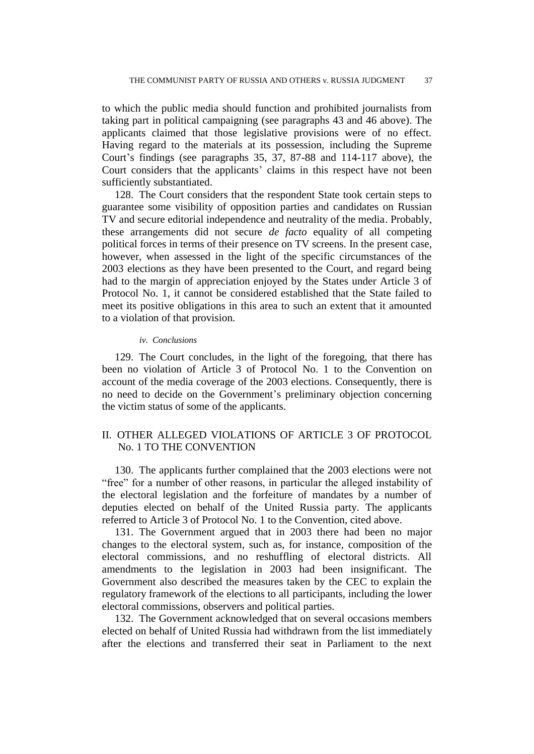to which the public media should function and prohibited journalists from taking part in political campaigning (see paragraphs 43 and 46 above). The applicants claimed that those legislative provisions were of no effect. Having regard to the materials at its possession, including the Supreme Court's findings (see paragraphs 35, 37, 87-88 and 114-117 above), the Court considers that the applicants' claims in this respect have not been sufficiently substantiated.

128. The Court considers that the respondent State took certain steps to guarantee some visibility of opposition parties and candidates on Russian TV and secure editorial independence and neutrality of the media. Probably, these arrangements did not secure *de facto* equality of all competing political forces in terms of their presence on TV screens. In the present case, however, when assessed in the light of the specific circumstances of the 2003 elections as they have been presented to the Court, and regard being had to the margin of appreciation enjoyed by the States under Article 3 of Protocol No. 1, it cannot be considered established that the State failed to meet its positive obligations in this area to such an extent that it amounted to a violation of that provision.

### *iv. Conclusions*

129. The Court concludes, in the light of the foregoing, that there has been no violation of Article 3 of Protocol No. 1 to the Convention on account of the media coverage of the 2003 elections. Consequently, there is no need to decide on the Government's preliminary objection concerning the victim status of some of the applicants.

## II. OTHER ALLEGED VIOLATIONS OF ARTICLE 3 OF PROTOCOL No. 1 TO THE CONVENTION

130. The applicants further complained that the 2003 elections were not "free" for a number of other reasons, in particular the alleged instability of the electoral legislation and the forfeiture of mandates by a number of deputies elected on behalf of the United Russia party. The applicants referred to Article 3 of Protocol No. 1 to the Convention, cited above.

131. The Government argued that in 2003 there had been no major changes to the electoral system, such as, for instance, composition of the electoral commissions, and no reshuffling of electoral districts. All amendments to the legislation in 2003 had been insignificant. The Government also described the measures taken by the CEC to explain the regulatory framework of the elections to all participants, including the lower electoral commissions, observers and political parties.

132. The Government acknowledged that on several occasions members elected on behalf of United Russia had withdrawn from the list immediately after the elections and transferred their seat in Parliament to the next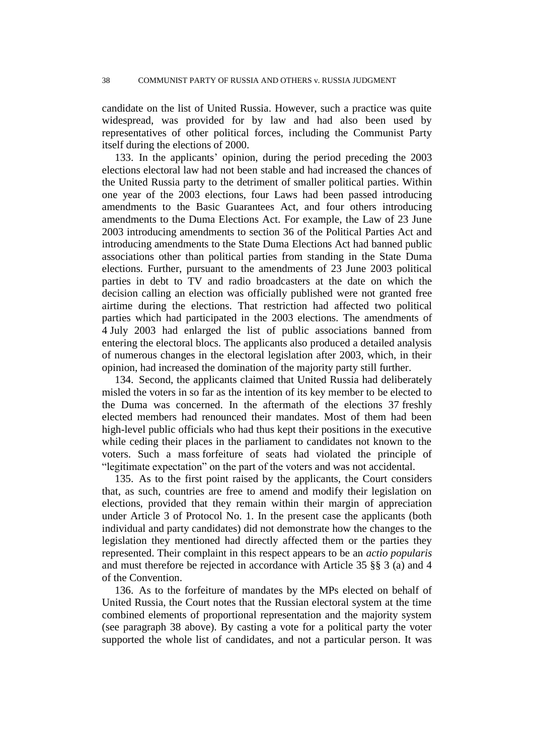candidate on the list of United Russia. However, such a practice was quite widespread, was provided for by law and had also been used by representatives of other political forces, including the Communist Party itself during the elections of 2000.

133. In the applicants' opinion, during the period preceding the 2003 elections electoral law had not been stable and had increased the chances of the United Russia party to the detriment of smaller political parties. Within one year of the 2003 elections, four Laws had been passed introducing amendments to the Basic Guarantees Act, and four others introducing amendments to the Duma Elections Act. For example, the Law of 23 June 2003 introducing amendments to section 36 of the Political Parties Act and introducing amendments to the State Duma Elections Act had banned public associations other than political parties from standing in the State Duma elections. Further, pursuant to the amendments of 23 June 2003 political parties in debt to TV and radio broadcasters at the date on which the decision calling an election was officially published were not granted free airtime during the elections. That restriction had affected two political parties which had participated in the 2003 elections. The amendments of 4 July 2003 had enlarged the list of public associations banned from entering the electoral blocs. The applicants also produced a detailed analysis of numerous changes in the electoral legislation after 2003, which, in their opinion, had increased the domination of the majority party still further.

134. Second, the applicants claimed that United Russia had deliberately misled the voters in so far as the intention of its key member to be elected to the Duma was concerned. In the aftermath of the elections 37 freshly elected members had renounced their mandates. Most of them had been high-level public officials who had thus kept their positions in the executive while ceding their places in the parliament to candidates not known to the voters. Such a mass forfeiture of seats had violated the principle of "legitimate expectation" on the part of the voters and was not accidental.

135. As to the first point raised by the applicants, the Court considers that, as such, countries are free to amend and modify their legislation on elections, provided that they remain within their margin of appreciation under Article 3 of Protocol No. 1. In the present case the applicants (both individual and party candidates) did not demonstrate how the changes to the legislation they mentioned had directly affected them or the parties they represented. Their complaint in this respect appears to be an *actio popularis* and must therefore be rejected in accordance with Article 35 §§ 3 (a) and 4 of the Convention.

136. As to the forfeiture of mandates by the MPs elected on behalf of United Russia, the Court notes that the Russian electoral system at the time combined elements of proportional representation and the majority system (see paragraph 38 above). By casting a vote for a political party the voter supported the whole list of candidates, and not a particular person. It was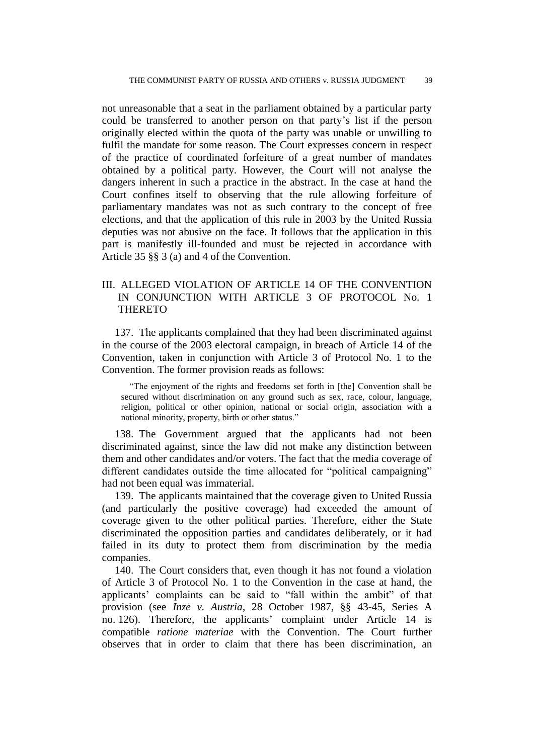not unreasonable that a seat in the parliament obtained by a particular party could be transferred to another person on that party's list if the person originally elected within the quota of the party was unable or unwilling to fulfil the mandate for some reason. The Court expresses concern in respect of the practice of coordinated forfeiture of a great number of mandates obtained by a political party. However, the Court will not analyse the dangers inherent in such a practice in the abstract. In the case at hand the Court confines itself to observing that the rule allowing forfeiture of parliamentary mandates was not as such contrary to the concept of free elections, and that the application of this rule in 2003 by the United Russia deputies was not abusive on the face. It follows that the application in this part is manifestly ill-founded and must be rejected in accordance with Article 35 §§ 3 (a) and 4 of the Convention.

# III. ALLEGED VIOLATION OF ARTICLE 14 OF THE CONVENTION IN CONJUNCTION WITH ARTICLE 3 OF PROTOCOL No. 1 **THERETO**

137. The applicants complained that they had been discriminated against in the course of the 2003 electoral campaign, in breach of Article 14 of the Convention, taken in conjunction with Article 3 of Protocol No. 1 to the Convention. The former provision reads as follows:

"The enjoyment of the rights and freedoms set forth in [the] Convention shall be secured without discrimination on any ground such as sex, race, colour, language, religion, political or other opinion, national or social origin, association with a national minority, property, birth or other status."

138. The Government argued that the applicants had not been discriminated against, since the law did not make any distinction between them and other candidates and/or voters. The fact that the media coverage of different candidates outside the time allocated for "political campaigning" had not been equal was immaterial.

139. The applicants maintained that the coverage given to United Russia (and particularly the positive coverage) had exceeded the amount of coverage given to the other political parties. Therefore, either the State discriminated the opposition parties and candidates deliberately, or it had failed in its duty to protect them from discrimination by the media companies.

140. The Court considers that, even though it has not found a violation of Article 3 of Protocol No. 1 to the Convention in the case at hand, the applicants' complaints can be said to "fall within the ambit" of that provision (see *Inze v. Austria*, 28 October 1987, §§ 43-45, Series A no. 126). Therefore, the applicants' complaint under Article 14 is compatible *ratione materiae* with the Convention. The Court further observes that in order to claim that there has been discrimination, an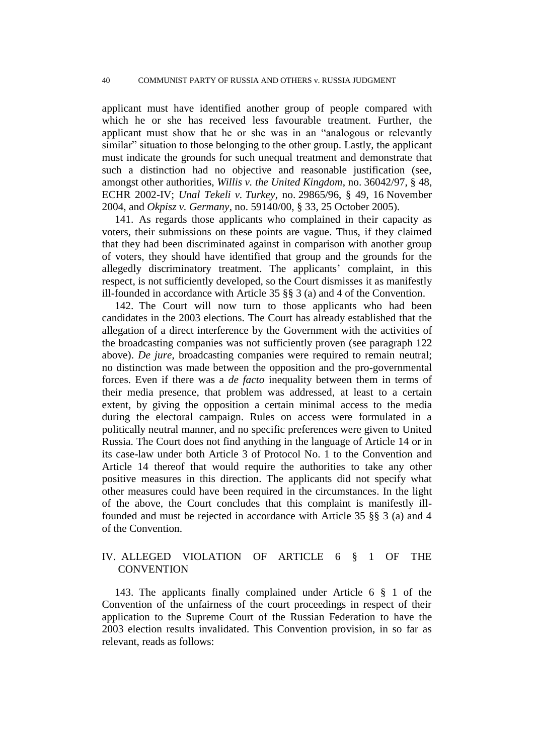applicant must have identified another group of people compared with which he or she has received less favourable treatment. Further, the applicant must show that he or she was in an "analogous or relevantly similar" situation to those belonging to the other group. Lastly, the applicant must indicate the grounds for such unequal treatment and demonstrate that such a distinction had no objective and reasonable justification (see, amongst other authorities, *Willis v. the United Kingdom*, no. 36042/97, § 48, ECHR 2002-IV; *Unal Tekeli v. Turkey*, no. 29865/96, § 49, 16 November 2004, and *Okpisz v. Germany*, no. 59140/00, § 33, 25 October 2005).

141. As regards those applicants who complained in their capacity as voters, their submissions on these points are vague. Thus, if they claimed that they had been discriminated against in comparison with another group of voters, they should have identified that group and the grounds for the allegedly discriminatory treatment. The applicants' complaint, in this respect, is not sufficiently developed, so the Court dismisses it as manifestly ill-founded in accordance with Article 35 §§ 3 (a) and 4 of the Convention.

142. The Court will now turn to those applicants who had been candidates in the 2003 elections. The Court has already established that the allegation of a direct interference by the Government with the activities of the broadcasting companies was not sufficiently proven (see paragraph 122 above). *De jure*, broadcasting companies were required to remain neutral; no distinction was made between the opposition and the pro-governmental forces. Even if there was a *de facto* inequality between them in terms of their media presence, that problem was addressed, at least to a certain extent, by giving the opposition a certain minimal access to the media during the electoral campaign. Rules on access were formulated in a politically neutral manner, and no specific preferences were given to United Russia. The Court does not find anything in the language of Article 14 or in its case-law under both Article 3 of Protocol No. 1 to the Convention and Article 14 thereof that would require the authorities to take any other positive measures in this direction. The applicants did not specify what other measures could have been required in the circumstances. In the light of the above, the Court concludes that this complaint is manifestly illfounded and must be rejected in accordance with Article 35 §§ 3 (a) and 4 of the Convention.

## IV. ALLEGED VIOLATION OF ARTICLE 6 § 1 OF THE **CONVENTION**

143. The applicants finally complained under Article 6 § 1 of the Convention of the unfairness of the court proceedings in respect of their application to the Supreme Court of the Russian Federation to have the 2003 election results invalidated. This Convention provision, in so far as relevant, reads as follows: